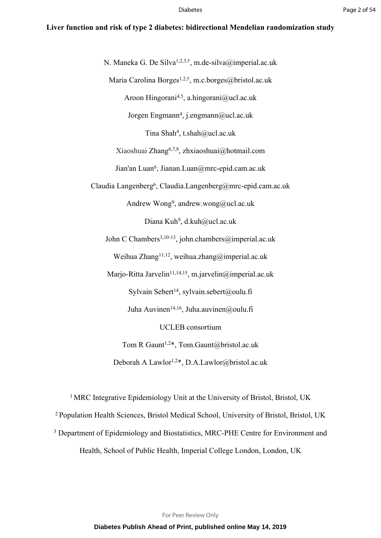# **Liver function and risk of type 2 diabetes: bidirectional Mendelian randomization study**

N. Maneka G. De Silva<sup>1,2,3,†</sup>, m.de-silva@imperial.ac.uk Maria Carolina Borges<sup>1,2,†</sup>, m.c.borges@bristol.ac.uk Aroon Hingorani<sup>4,5</sup>, a.hingorani@ucl.ac.uk Jorgen Engmann<sup>4</sup>, j.engmann@ucl.ac.uk Tina Shah<sup>4</sup>, t.shah@ucl.ac.uk Xiaoshuai Zhang6,7,8, zhxiaoshuai@hotmail.com Jian'an Luan<sup>6</sup>, [Jianan.Luan@mrc-epid.cam.ac.uk](mailto:Jianan.Luan@mrc-epid.cam.ac.uk) Claudia Langenberg<sup>6</sup> , [Claudia.Langenberg@mrc-epid.cam.ac.uk](mailto:Claudia.Langenberg@mrc-epid.cam.ac.uk) Andrew Wong<sup>9</sup>, andrew.wong@ucl.ac.uk Diana Kuh<sup>9</sup>, d.kuh@ucl.ac.uk John C Chambers<sup>3,10-13</sup>, john.chambers@imperial.ac.uk Weihua Zhang<sup>11,12</sup>, weihua.zhang@imperial.ac.uk Marjo-Ritta Jarvelin<sup>11,14,15</sup>, m.jarvelin@imperial.ac.uk Sylvain Sebert<sup>14</sup>, sylvain.sebert@oulu.fi Juha Auvinen<sup>14,16</sup>, Juha.auvinen@oulu.fi UCLEB consortium Tom R Gaunt<sup>1,2\*</sup>, Tom.Gaunt@bristol.ac.uk Deborah A Lawlor<sup>1,2\*</sup>, D.A.Lawlor@bristol.ac.uk

<sup>1</sup> MRC Integrative Epidemiology Unit at the University of Bristol, Bristol, UK <sup>2</sup>Population Health Sciences, Bristol Medical School, University of Bristol, Bristol, UK <sup>3</sup> Department of Epidemiology and Biostatistics, MRC-PHE Centre for Environment and Health, School of Public Health, Imperial College London, London, UK

For Peer Review Only

**Diabetes Publish Ahead of Print, published online May 14, 2019**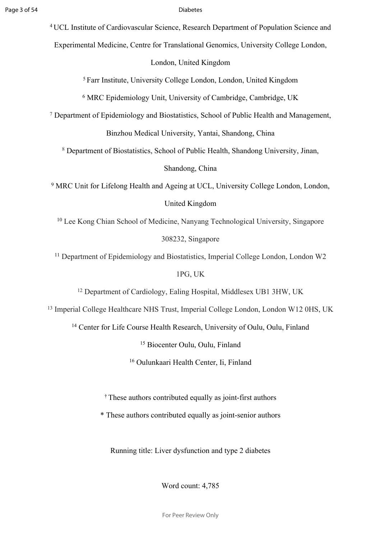<sup>4</sup>UCL Institute of Cardiovascular Science, Research Department of Population Science and

Experimental Medicine, Centre for Translational Genomics, University College London,

# London, United Kingdom

<sup>5</sup>Farr Institute, University College London, London, United Kingdom

6 MRC Epidemiology Unit, University of Cambridge, Cambridge, UK

<sup>7</sup> Department of Epidemiology and Biostatistics, School of Public Health and Management, Binzhou Medical University, Yantai, Shandong, China

<sup>8</sup> Department of Biostatistics, School of Public Health, Shandong University, Jinan,

Shandong, China

<sup>9</sup> MRC Unit for Lifelong Health and Ageing at UCL, University College London, London, United Kingdom

<sup>10</sup> Lee Kong Chian School of Medicine, Nanyang Technological University, Singapore 308232, Singapore

<sup>11</sup> Department of Epidemiology and Biostatistics, Imperial College London, London W2

1PG, UK

<sup>12</sup> Department of Cardiology, Ealing Hospital, Middlesex UB1 3HW, UK

<sup>13</sup> Imperial College Healthcare NHS Trust, Imperial College London, London W12 0HS, UK

<sup>14</sup> Center for Life Course Health Research, University of Oulu, Oulu, Finland

<sup>15</sup> Biocenter Oulu, Oulu, Finland

<sup>16</sup> Oulunkaari Health Center, Ii, Finland

† These authors contributed equally as joint-first authors

\* These authors contributed equally as joint-senior authors

Running title: Liver dysfunction and type 2 diabetes

Word count: 4,785

For Peer Review Only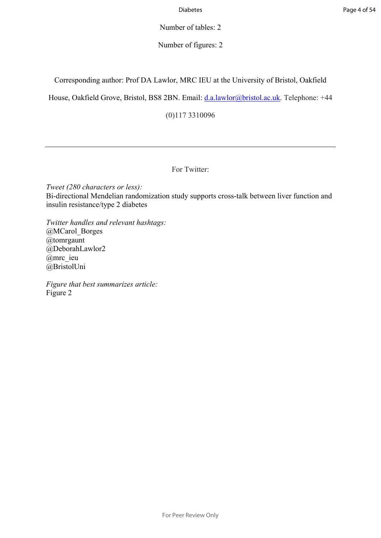Number of tables: 2

Number of figures: 2

Corresponding author: Prof DA Lawlor, MRC IEU at the University of Bristol, Oakfield

House, Oakfield Grove, Bristol, BS8 2BN. Email: [d.a.lawlor@bristol.ac.uk.](mailto:d.a.lawlor@bristol.ac.uk) Telephone: +44

(0)117 3310096

For Twitter:

*Tweet (280 characters or less):* Bi-directional Mendelian randomization study supports cross-talk between liver function and insulin resistance/type 2 diabetes

*Twitter handles and relevant hashtags:* @MCarol\_Borges @tomrgaunt @DeborahLawlor2 @mrc\_ieu @BristolUni

*Figure that best summarizes article:* Figure 2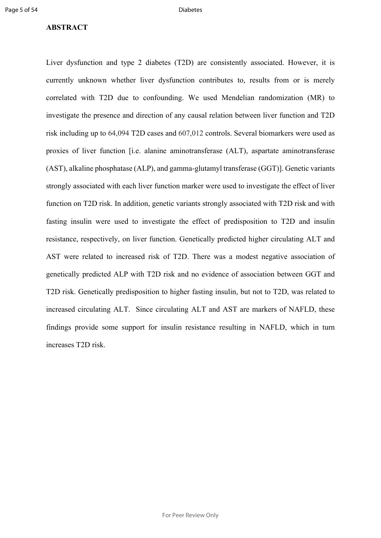# **ABSTRACT**

Liver dysfunction and type 2 diabetes (T2D) are consistently associated. However, it is currently unknown whether liver dysfunction contributes to, results from or is merely correlated with T2D due to confounding. We used Mendelian randomization (MR) to investigate the presence and direction of any causal relation between liver function and T2D risk including up to 64,094 T2D cases and 607,012 controls. Several biomarkers were used as proxies of liver function [i.e. alanine aminotransferase (ALT), aspartate aminotransferase (AST), alkaline phosphatase (ALP), and gamma-glutamyl transferase (GGT)]. Genetic variants strongly associated with each liver function marker were used to investigate the effect of liver function on T2D risk. In addition, genetic variants strongly associated with T2D risk and with fasting insulin were used to investigate the effect of predisposition to T2D and insulin resistance, respectively, on liver function. Genetically predicted higher circulating ALT and AST were related to increased risk of T2D. There was a modest negative association of genetically predicted ALP with T2D risk and no evidence of association between GGT and T2D risk. Genetically predisposition to higher fasting insulin, but not to T2D, was related to increased circulating ALT. Since circulating ALT and AST are markers of NAFLD, these findings provide some support for insulin resistance resulting in NAFLD, which in turn increases T2D risk.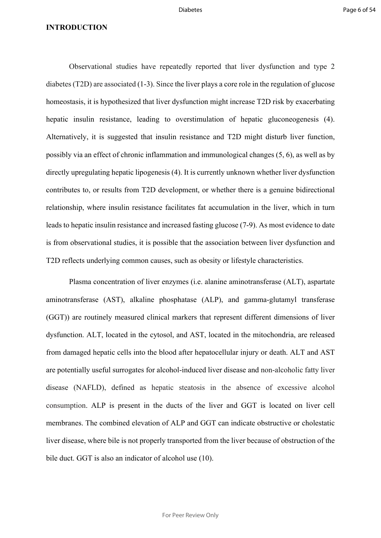### **INTRODUCTION**

Observational studies have repeatedly reported that liver dysfunction and type 2 diabetes (T2D) are associated (1-3). Since the liver plays a core role in the regulation of glucose homeostasis, it is hypothesized that liver dysfunction might increase T2D risk by exacerbating hepatic insulin resistance, leading to overstimulation of hepatic gluconeogenesis (4). Alternatively, it is suggested that insulin resistance and T2D might disturb liver function, possibly via an effect of chronic inflammation and immunological changes (5, 6), as well as by directly upregulating hepatic lipogenesis (4). It is currently unknown whether liver dysfunction contributes to, or results from T2D development, or whether there is a genuine bidirectional relationship, where insulin resistance facilitates fat accumulation in the liver, which in turn leads to hepatic insulin resistance and increased fasting glucose (7-9). As most evidence to date is from observational studies, it is possible that the association between liver dysfunction and T2D reflects underlying common causes, such as obesity or lifestyle characteristics.

Plasma concentration of liver enzymes (i.e. alanine aminotransferase (ALT), aspartate aminotransferase (AST), alkaline phosphatase (ALP), and gamma-glutamyl transferase (GGT)) are routinely measured clinical markers that represent different dimensions of liver dysfunction. ALT, located in the cytosol, and AST, located in the mitochondria, are released from damaged hepatic cells into the blood after hepatocellular injury or death. ALT and AST are potentially useful surrogates for alcohol-induced liver disease and non-alcoholic fatty liver disease (NAFLD), defined as hepatic steatosis in the absence of excessive alcohol consumption. ALP is present in the ducts of the liver and GGT is located on liver cell membranes. The combined elevation of ALP and GGT can indicate obstructive or cholestatic liver disease, where bile is not properly transported from the liver because of obstruction of the bile duct. GGT is also an indicator of alcohol use (10).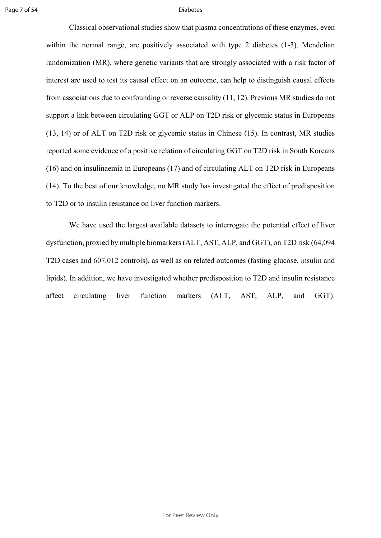Classical observational studies show that plasma concentrations of these enzymes, even within the normal range, are positively associated with type 2 diabetes (1-3). Mendelian randomization (MR), where genetic variants that are strongly associated with a risk factor of interest are used to test its causal effect on an outcome, can help to distinguish causal effects from associations due to confounding or reverse causality (11, 12). Previous MR studies do not support a link between circulating GGT or ALP on T2D risk or glycemic status in Europeans (13, 14) or of ALT on T2D risk or glycemic status in Chinese (15). In contrast, MR studies reported some evidence of a positive relation of circulating GGT on T2D risk in South Koreans (16) and on insulinaemia in Europeans (17) and of circulating ALT on T2D risk in Europeans (14). To the best of our knowledge, no MR study has investigated the effect of predisposition to T2D or to insulin resistance on liver function markers.

We have used the largest available datasets to interrogate the potential effect of liver dysfunction, proxied by multiple biomarkers (ALT, AST, ALP, and GGT), on T2D risk (64,094 T2D cases and 607,012 controls), as well as on related outcomes (fasting glucose, insulin and lipids). In addition, we have investigated whether predisposition to T2D and insulin resistance affect circulating liver function markers (ALT, AST, ALP, and GGT).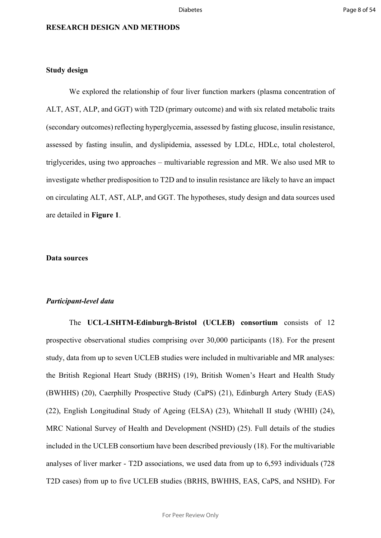# **RESEARCH DESIGN AND METHODS**

### **Study design**

We explored the relationship of four liver function markers (plasma concentration of ALT, AST, ALP, and GGT) with T2D (primary outcome) and with six related metabolic traits (secondary outcomes) reflecting hyperglycemia, assessed by fasting glucose, insulin resistance, assessed by fasting insulin, and dyslipidemia, assessed by LDLc, HDLc, total cholesterol, triglycerides, using two approaches – multivariable regression and MR. We also used MR to investigate whether predisposition to T2D and to insulin resistance are likely to have an impact on circulating ALT, AST, ALP, and GGT. The hypotheses, study design and data sources used are detailed in **Figure 1**.

### **Data sources**

### *Participant-level data*

The **UCL-LSHTM-Edinburgh-Bristol (UCLEB) consortium** consists of 12 prospective observational studies comprising over 30,000 participants (18). For the present study, data from up to seven UCLEB studies were included in multivariable and MR analyses: the British Regional Heart Study (BRHS) (19), British Women's Heart and Health Study (BWHHS) (20), Caerphilly Prospective Study (CaPS) (21), Edinburgh Artery Study (EAS) (22), English Longitudinal Study of Ageing (ELSA) (23), Whitehall II study (WHII) (24), MRC National Survey of Health and Development (NSHD) (25). Full details of the studies included in the UCLEB consortium have been described previously (18). For the multivariable analyses of liver marker - T2D associations, we used data from up to 6,593 individuals (728 T2D cases) from up to five UCLEB studies (BRHS, BWHHS, EAS, CaPS, and NSHD). For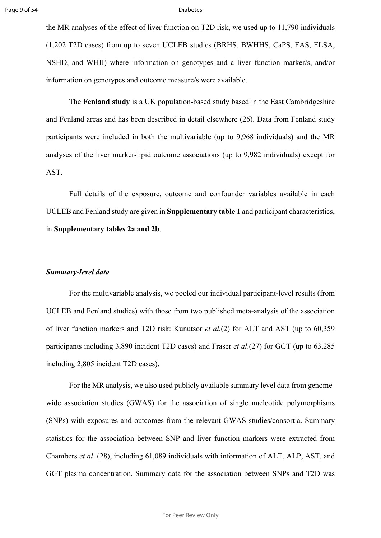the MR analyses of the effect of liver function on T2D risk, we used up to 11,790 individuals (1,202 T2D cases) from up to seven UCLEB studies (BRHS, BWHHS, CaPS, EAS, ELSA, NSHD, and WHII) where information on genotypes and a liver function marker/s, and/or information on genotypes and outcome measure/s were available.

The **Fenland study** is a UK population-based study based in the East Cambridgeshire and Fenland areas and has been described in detail elsewhere (26). Data from Fenland study participants were included in both the multivariable (up to 9,968 individuals) and the MR analyses of the liver marker-lipid outcome associations (up to 9,982 individuals) except for AST.

Full details of the exposure, outcome and confounder variables available in each UCLEB and Fenland study are given in **Supplementary table 1** and participant characteristics, in **Supplementary tables 2a and 2b**.

# *Summary-level data*

For the multivariable analysis, we pooled our individual participant-level results (from UCLEB and Fenland studies) with those from two published meta-analysis of the association of liver function markers and T2D risk: Kunutsor *et al.*(2) for ALT and AST (up to 60,359 participants including 3,890 incident T2D cases) and Fraser *et al*.(27) for GGT (up to 63,285 including 2,805 incident T2D cases).

For the MR analysis, we also used publicly available summary level data from genomewide association studies (GWAS) for the association of single nucleotide polymorphisms (SNPs) with exposures and outcomes from the relevant GWAS studies/consortia. Summary statistics for the association between SNP and liver function markers were extracted from Chambers *et al*. (28), including 61,089 individuals with information of ALT, ALP, AST, and GGT plasma concentration. Summary data for the association between SNPs and T2D was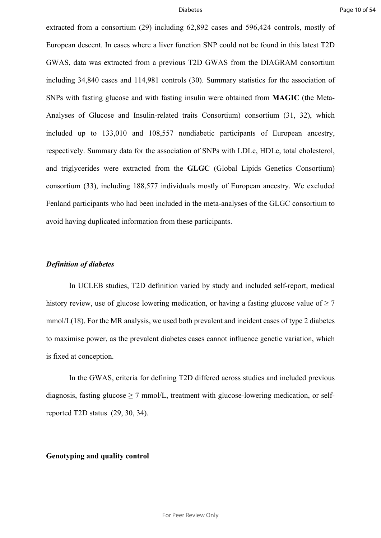extracted from a consortium (29) including 62,892 cases and 596,424 controls, mostly of European descent. In cases where a liver function SNP could not be found in this latest T2D GWAS, data was extracted from a previous T2D GWAS from the DIAGRAM consortium including 34,840 cases and 114,981 controls (30). Summary statistics for the association of SNPs with fasting glucose and with fasting insulin were obtained from **MAGIC** (the Meta-Analyses of Glucose and Insulin-related traits Consortium) consortium (31, 32), which included up to 133,010 and 108,557 nondiabetic participants of European ancestry, respectively. Summary data for the association of SNPs with LDLc, HDLc, total cholesterol, and triglycerides were extracted from the **GLGC** (Global Lipids Genetics Consortium) consortium (33), including 188,577 individuals mostly of European ancestry. We excluded Fenland participants who had been included in the meta-analyses of the GLGC consortium to avoid having duplicated information from these participants.

# *Definition of diabetes*

In UCLEB studies, T2D definition varied by study and included self-report, medical history review, use of glucose lowering medication, or having a fasting glucose value of  $\geq 7$ mmol/L(18). For the MR analysis, we used both prevalent and incident cases of type 2 diabetes to maximise power, as the prevalent diabetes cases cannot influence genetic variation, which is fixed at conception.

In the GWAS, criteria for defining T2D differed across studies and included previous diagnosis, fasting glucose  $> 7$  mmol/L, treatment with glucose-lowering medication, or selfreported T2D status (29, 30, 34).

# **Genotyping and quality control**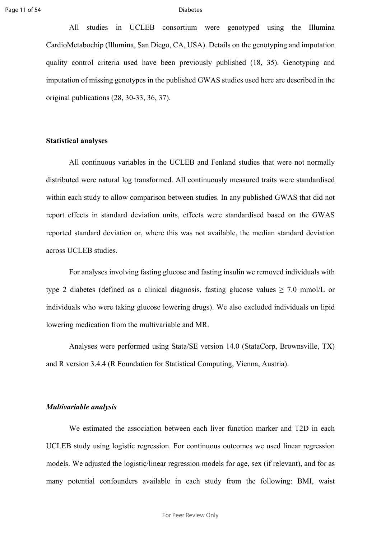All studies in UCLEB consortium were genotyped using the Illumina CardioMetabochip (Illumina, San Diego, CA, USA). Details on the genotyping and imputation quality control criteria used have been previously published (18, 35). Genotyping and imputation of missing genotypes in the published GWAS studies used here are described in the original publications (28, 30-33, 36, 37).

### **Statistical analyses**

All continuous variables in the UCLEB and Fenland studies that were not normally distributed were natural log transformed. All continuously measured traits were standardised within each study to allow comparison between studies. In any published GWAS that did not report effects in standard deviation units, effects were standardised based on the GWAS reported standard deviation or, where this was not available, the median standard deviation across UCLEB studies.

For analyses involving fasting glucose and fasting insulin we removed individuals with type 2 diabetes (defined as a clinical diagnosis, fasting glucose values  $\geq 7.0$  mmol/L or individuals who were taking glucose lowering drugs). We also excluded individuals on lipid lowering medication from the multivariable and MR.

Analyses were performed using Stata/SE version 14.0 (StataCorp, Brownsville, TX) and R version 3.4.4 (R Foundation for Statistical Computing, Vienna, Austria).

### *Multivariable analysis*

We estimated the association between each liver function marker and T2D in each UCLEB study using logistic regression. For continuous outcomes we used linear regression models. We adjusted the logistic/linear regression models for age, sex (if relevant), and for as many potential confounders available in each study from the following: BMI, waist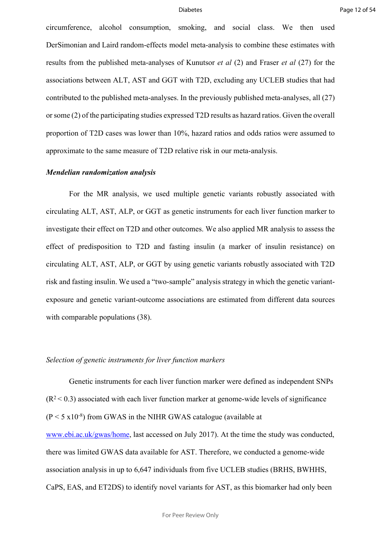circumference, alcohol consumption, smoking, and social class. We then used DerSimonian and Laird random-effects model meta-analysis to combine these estimates with results from the published meta-analyses of Kunutsor *et al* (2) and Fraser *et al* (27) for the associations between ALT, AST and GGT with T2D, excluding any UCLEB studies that had contributed to the published meta-analyses. In the previously published meta-analyses, all (27) or some (2) of the participating studies expressed T2D results as hazard ratios. Given the overall proportion of T2D cases was lower than 10%, hazard ratios and odds ratios were assumed to approximate to the same measure of T2D relative risk in our meta-analysis.

# *Mendelian randomization analysis*

For the MR analysis, we used multiple genetic variants robustly associated with circulating ALT, AST, ALP, or GGT as genetic instruments for each liver function marker to investigate their effect on T2D and other outcomes. We also applied MR analysis to assess the effect of predisposition to T2D and fasting insulin (a marker of insulin resistance) on circulating ALT, AST, ALP, or GGT by using genetic variants robustly associated with T2D risk and fasting insulin. We used a "two-sample" analysis strategy in which the genetic variantexposure and genetic variant-outcome associations are estimated from different data sources with comparable populations (38).

# *Selection of genetic instruments for liver function markers*

Genetic instruments for each liver function marker were defined as independent SNPs  $(R<sup>2</sup> < 0.3)$  associated with each liver function marker at genome-wide levels of significance  $(P < 5 \times 10^{-8})$  from GWAS in the NIHR GWAS catalogue (available at [www.ebi.ac.uk/gwas/home](http://www.ebi.ac.uk/gwas/home), last accessed on July 2017). At the time the study was conducted, there was limited GWAS data available for AST. Therefore, we conducted a genome-wide association analysis in up to 6,647 individuals from five UCLEB studies (BRHS, BWHHS, CaPS, EAS, and ET2DS) to identify novel variants for AST, as this biomarker had only been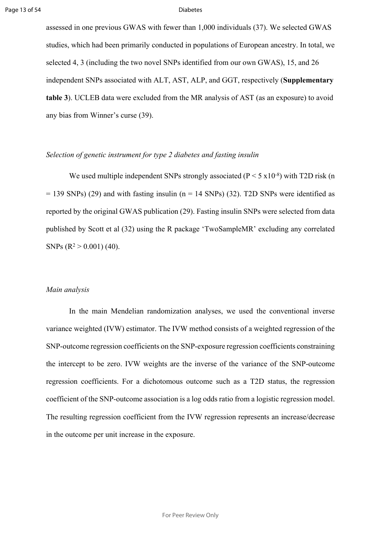assessed in one previous GWAS with fewer than 1,000 individuals (37). We selected GWAS studies, which had been primarily conducted in populations of European ancestry. In total, we selected 4, 3 (including the two novel SNPs identified from our own GWAS), 15, and 26 independent SNPs associated with ALT, AST, ALP, and GGT, respectively (**Supplementary table 3**). UCLEB data were excluded from the MR analysis of AST (as an exposure) to avoid any bias from Winner's curse (39).

# *Selection of genetic instrument for type 2 diabetes and fasting insulin*

We used multiple independent SNPs strongly associated ( $P \le 5 \times 10^{-8}$ ) with T2D risk (n  $= 139$  SNPs) (29) and with fasting insulin (n = 14 SNPs) (32). T2D SNPs were identified as reported by the original GWAS publication (29). Fasting insulin SNPs were selected from data published by Scott et al (32) using the R package 'TwoSampleMR' excluding any correlated SNPs  $(R^2 > 0.001)$  (40).

# *Main analysis*

In the main Mendelian randomization analyses, we used the conventional inverse variance weighted (IVW) estimator. The IVW method consists of a weighted regression of the SNP-outcome regression coefficients on the SNP-exposure regression coefficients constraining the intercept to be zero. IVW weights are the inverse of the variance of the SNP-outcome regression coefficients. For a dichotomous outcome such as a T2D status, the regression coefficient of the SNP-outcome association is a log odds ratio from a logistic regression model. The resulting regression coefficient from the IVW regression represents an increase/decrease in the outcome per unit increase in the exposure.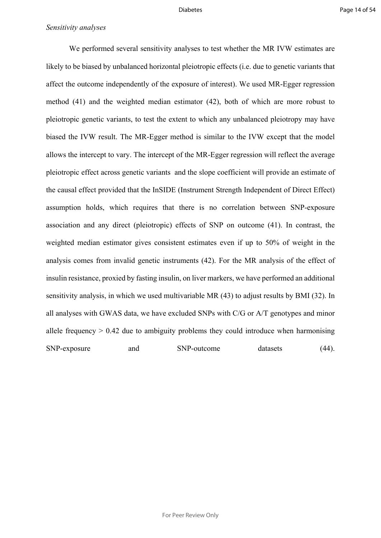# *Sensitivity analyses*

We performed several sensitivity analyses to test whether the MR IVW estimates are likely to be biased by unbalanced horizontal pleiotropic effects (i.e. due to genetic variants that affect the outcome independently of the exposure of interest). We used MR-Egger regression method (41) and the weighted median estimator (42), both of which are more robust to pleiotropic genetic variants, to test the extent to which any unbalanced pleiotropy may have biased the IVW result. The MR-Egger method is similar to the IVW except that the model allows the intercept to vary. The intercept of the MR-Egger regression will reflect the average pleiotropic effect across genetic variants and the slope coefficient will provide an estimate of the causal effect provided that the InSIDE (Instrument Strength Independent of Direct Effect) assumption holds, which requires that there is no correlation between SNP-exposure association and any direct (pleiotropic) effects of SNP on outcome (41). In contrast, the weighted median estimator gives consistent estimates even if up to 50% of weight in the analysis comes from invalid genetic instruments (42). For the MR analysis of the effect of insulin resistance, proxied by fasting insulin, on liver markers, we have performed an additional sensitivity analysis, in which we used multivariable MR (43) to adjust results by BMI (32). In all analyses with GWAS data, we have excluded SNPs with C/G or A/T genotypes and minor allele frequency  $> 0.42$  due to ambiguity problems they could introduce when harmonising SNP-exposure and SNP-outcome datasets (44).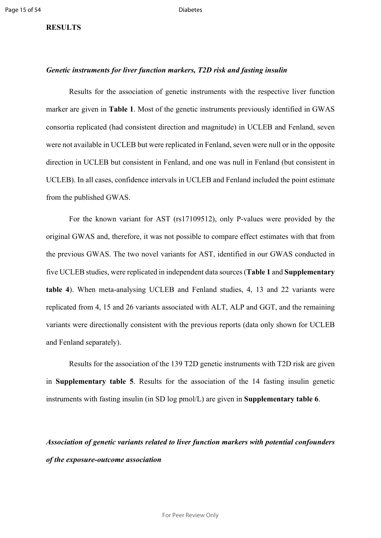### **RESULTS**

### *Genetic instruments for liver function markers, T2D risk and fasting insulin*

Results for the association of genetic instruments with the respective liver function marker are given in **Table 1**. Most of the genetic instruments previously identified in GWAS consortia replicated (had consistent direction and magnitude) in UCLEB and Fenland, seven were not available in UCLEB but were replicated in Fenland, seven were null or in the opposite direction in UCLEB but consistent in Fenland, and one was null in Fenland (but consistent in UCLEB). In all cases, confidence intervals in UCLEB and Fenland included the point estimate from the published GWAS.

For the known variant for AST (rs17109512), only P-values were provided by the original GWAS and, therefore, it was not possible to compare effect estimates with that from the previous GWAS. The two novel variants for AST, identified in our GWAS conducted in five UCLEB studies, were replicated in independent data sources (**Table 1** and **Supplementary table 4**). When meta-analysing UCLEB and Fenland studies, 4, 13 and 22 variants were replicated from 4, 15 and 26 variants associated with ALT, ALP and GGT, and the remaining variants were directionally consistent with the previous reports (data only shown for UCLEB and Fenland separately).

Results for the association of the 139 T2D genetic instruments with T2D risk are given in **Supplementary table 5**. Results for the association of the 14 fasting insulin genetic instruments with fasting insulin (in SD log pmol/L) are given in **Supplementary table 6**.

*Association of genetic variants related to liver function markers with potential confounders of the exposure-outcome association*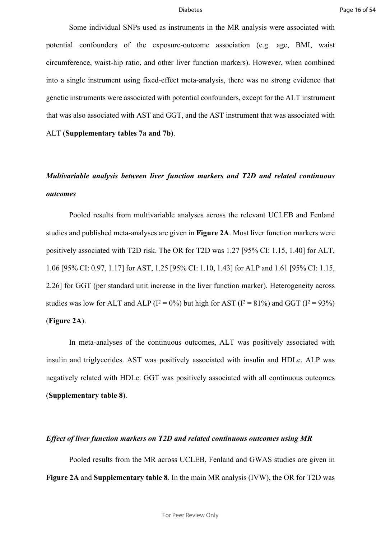Some individual SNPs used as instruments in the MR analysis were associated with potential confounders of the exposure-outcome association (e.g. age, BMI, waist circumference, waist-hip ratio, and other liver function markers). However, when combined into a single instrument using fixed-effect meta-analysis, there was no strong evidence that genetic instruments were associated with potential confounders, except for the ALT instrument that was also associated with AST and GGT, and the AST instrument that was associated with ALT (**Supplementary tables 7a and 7b)**.

# *Multivariable analysis between liver function markers and T2D and related continuous outcomes*

Pooled results from multivariable analyses across the relevant UCLEB and Fenland studies and published meta-analyses are given in **Figure 2A**. Most liver function markers were positively associated with T2D risk. The OR for T2D was 1.27 [95% CI: 1.15, 1.40] for ALT, 1.06 [95% CI: 0.97, 1.17] for AST, 1.25 [95% CI: 1.10, 1.43] for ALP and 1.61 [95% CI: 1.15, 2.26] for GGT (per standard unit increase in the liver function marker). Heterogeneity across studies was low for ALT and ALP ( $I^2 = 0\%$ ) but high for AST ( $I^2 = 81\%$ ) and GGT ( $I^2 = 93\%$ ) (**Figure 2A**).

In meta-analyses of the continuous outcomes, ALT was positively associated with insulin and triglycerides. AST was positively associated with insulin and HDLc. ALP was negatively related with HDLc. GGT was positively associated with all continuous outcomes (**Supplementary table 8**).

# *Effect of liver function markers on T2D and related continuous outcomes using MR*

Pooled results from the MR across UCLEB, Fenland and GWAS studies are given in **Figure 2A** and **Supplementary table 8**. In the main MR analysis (IVW), the OR for T2D was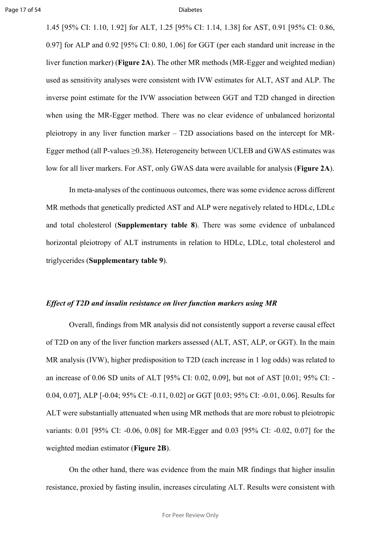1.45 [95% CI: 1.10, 1.92] for ALT, 1.25 [95% CI: 1.14, 1.38] for AST, 0.91 [95% CI: 0.86, 0.97] for ALP and 0.92 [95% CI: 0.80, 1.06] for GGT (per each standard unit increase in the liver function marker) (**Figure 2A**). The other MR methods (MR-Egger and weighted median) used as sensitivity analyses were consistent with IVW estimates for ALT, AST and ALP. The inverse point estimate for the IVW association between GGT and T2D changed in direction when using the MR-Egger method. There was no clear evidence of unbalanced horizontal pleiotropy in any liver function marker – T2D associations based on the intercept for MR-Egger method (all P-values ≥0.38). Heterogeneity between UCLEB and GWAS estimates was low for all liver markers. For AST, only GWAS data were available for analysis (**Figure 2A**).

In meta-analyses of the continuous outcomes, there was some evidence across different MR methods that genetically predicted AST and ALP were negatively related to HDLc, LDLc and total cholesterol (**Supplementary table 8**). There was some evidence of unbalanced horizontal pleiotropy of ALT instruments in relation to HDLc, LDLc, total cholesterol and triglycerides (**Supplementary table 9**).

### *Effect of T2D and insulin resistance on liver function markers using MR*

Overall, findings from MR analysis did not consistently support a reverse causal effect of T2D on any of the liver function markers assessed (ALT, AST, ALP, or GGT). In the main MR analysis (IVW), higher predisposition to T2D (each increase in 1 log odds) was related to an increase of 0.06 SD units of ALT [95% CI: 0.02, 0.09], but not of AST [0.01; 95% CI: - 0.04, 0.07], ALP [-0.04; 95% CI: -0.11, 0.02] or GGT [0.03; 95% CI: -0.01, 0.06]. Results for ALT were substantially attenuated when using MR methods that are more robust to pleiotropic variants: 0.01 [95% CI: -0.06, 0.08] for MR-Egger and 0.03 [95% CI: -0.02, 0.07] for the weighted median estimator (**Figure 2B**).

On the other hand, there was evidence from the main MR findings that higher insulin resistance, proxied by fasting insulin, increases circulating ALT. Results were consistent with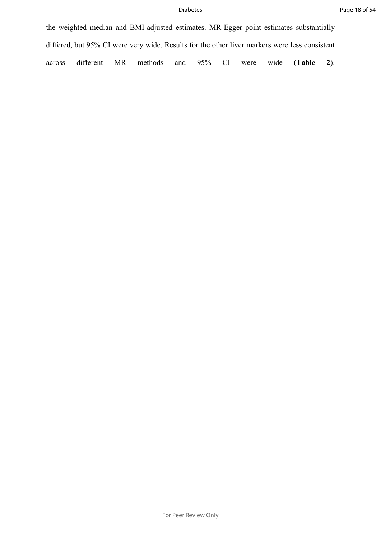the weighted median and BMI-adjusted estimates. MR-Egger point estimates substantially differed, but 95% CI were very wide. Results for the other liver markers were less consistent across different MR methods and 95% CI were wide (**Table 2**).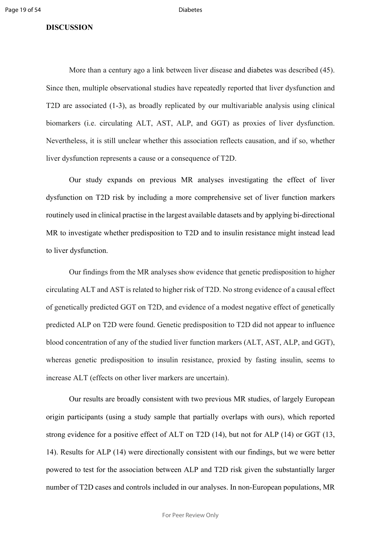### **DISCUSSION**

More than a century ago a link between liver disease and diabetes was described (45). Since then, multiple observational studies have repeatedly reported that liver dysfunction and T2D are associated (1-3), as broadly replicated by our multivariable analysis using clinical biomarkers (i.e. circulating ALT, AST, ALP, and GGT) as proxies of liver dysfunction. Nevertheless, it is still unclear whether this association reflects causation, and if so, whether liver dysfunction represents a cause or a consequence of T2D.

Our study expands on previous MR analyses investigating the effect of liver dysfunction on T2D risk by including a more comprehensive set of liver function markers routinely used in clinical practise in the largest available datasets and by applying bi-directional MR to investigate whether predisposition to T2D and to insulin resistance might instead lead to liver dysfunction.

Our findings from the MR analyses show evidence that genetic predisposition to higher circulating ALT and AST is related to higher risk of T2D. No strong evidence of a causal effect of genetically predicted GGT on T2D, and evidence of a modest negative effect of genetically predicted ALP on T2D were found. Genetic predisposition to T2D did not appear to influence blood concentration of any of the studied liver function markers (ALT, AST, ALP, and GGT), whereas genetic predisposition to insulin resistance, proxied by fasting insulin, seems to increase ALT (effects on other liver markers are uncertain).

Our results are broadly consistent with two previous MR studies, of largely European origin participants (using a study sample that partially overlaps with ours), which reported strong evidence for a positive effect of ALT on T2D (14), but not for ALP (14) or GGT (13, 14). Results for ALP (14) were directionally consistent with our findings, but we were better powered to test for the association between ALP and T2D risk given the substantially larger number of T2D cases and controls included in our analyses. In non-European populations, MR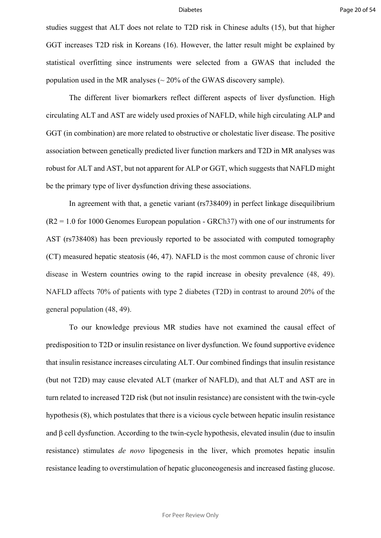studies suggest that ALT does not relate to T2D risk in Chinese adults (15), but that higher GGT increases T2D risk in Koreans (16). However, the latter result might be explained by statistical overfitting since instruments were selected from a GWAS that included the population used in the MR analyses  $\sim 20\%$  of the GWAS discovery sample).

The different liver biomarkers reflect different aspects of liver dysfunction. High circulating ALT and AST are widely used proxies of NAFLD, while high circulating ALP and GGT (in combination) are more related to obstructive or cholestatic liver disease. The positive association between genetically predicted liver function markers and T2D in MR analyses was robust for ALT and AST, but not apparent for ALP or GGT, which suggests that NAFLD might be the primary type of liver dysfunction driving these associations.

In agreement with that, a genetic variant (rs738409) in perfect linkage disequilibrium  $(R2 = 1.0$  for 1000 Genomes European population - GRCh37) with one of our instruments for AST (rs738408) has been previously reported to be associated with computed tomography (CT) measured hepatic steatosis (46, 47). NAFLD is the most common cause of chronic liver disease in Western countries owing to the rapid increase in obesity prevalence (48, 49). NAFLD affects 70% of patients with type 2 diabetes (T2D) in contrast to around 20% of the general population (48, 49).

To our knowledge previous MR studies have not examined the causal effect of predisposition to T2D or insulin resistance on liver dysfunction. We found supportive evidence that insulin resistance increases circulating ALT. Our combined findings that insulin resistance (but not T2D) may cause elevated ALT (marker of NAFLD), and that ALT and AST are in turn related to increased T2D risk (but not insulin resistance) are consistent with the twin-cycle hypothesis (8), which postulates that there is a vicious cycle between hepatic insulin resistance and β cell dysfunction. According to the twin-cycle hypothesis, elevated insulin (due to insulin resistance) stimulates *de novo* lipogenesis in the liver, which promotes hepatic insulin resistance leading to overstimulation of hepatic gluconeogenesis and increased fasting glucose.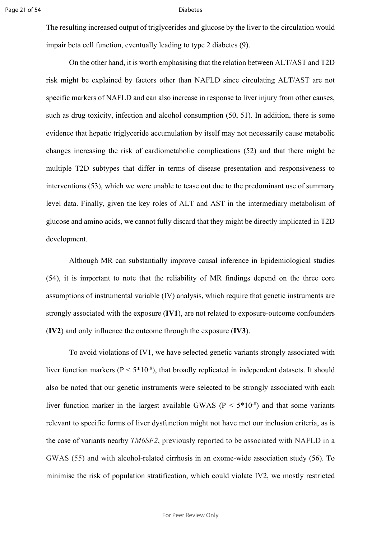The resulting increased output of triglycerides and glucose by the liver to the circulation would impair beta cell function, eventually leading to type 2 diabetes (9).

On the other hand, it is worth emphasising that the relation between ALT/AST and T2D risk might be explained by factors other than NAFLD since circulating ALT/AST are not specific markers of NAFLD and can also increase in response to liver injury from other causes, such as drug toxicity, infection and alcohol consumption (50, 51). In addition, there is some evidence that hepatic triglyceride accumulation by itself may not necessarily cause metabolic changes increasing the risk of cardiometabolic complications (52) and that there might be multiple T2D subtypes that differ in terms of disease presentation and responsiveness to interventions (53), which we were unable to tease out due to the predominant use of summary level data. Finally, given the key roles of ALT and AST in the intermediary metabolism of glucose and amino acids, we cannot fully discard that they might be directly implicated in T2D development.

Although MR can substantially improve causal inference in Epidemiological studies (54), it is important to note that the reliability of MR findings depend on the three core assumptions of instrumental variable (IV) analysis, which require that genetic instruments are strongly associated with the exposure (**IV1**), are not related to exposure-outcome confounders (**IV2**) and only influence the outcome through the exposure (**IV3**).

To avoid violations of IV1, we have selected genetic variants strongly associated with liver function markers ( $P < 5*10-8$ ), that broadly replicated in independent datasets. It should also be noted that our genetic instruments were selected to be strongly associated with each liver function marker in the largest available GWAS ( $P < 5*10<sup>-8</sup>$ ) and that some variants relevant to specific forms of liver dysfunction might not have met our inclusion criteria, as is the case of variants nearby *TM6SF2*, previously reported to be associated with NAFLD in a GWAS (55) and with alcohol-related cirrhosis in an exome-wide association study (56). To minimise the risk of population stratification, which could violate IV2, we mostly restricted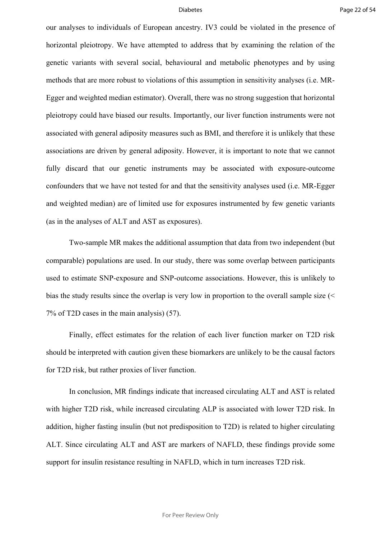our analyses to individuals of European ancestry. IV3 could be violated in the presence of horizontal pleiotropy. We have attempted to address that by examining the relation of the genetic variants with several social, behavioural and metabolic phenotypes and by using methods that are more robust to violations of this assumption in sensitivity analyses (i.e. MR-Egger and weighted median estimator). Overall, there was no strong suggestion that horizontal pleiotropy could have biased our results. Importantly, our liver function instruments were not associated with general adiposity measures such as BMI, and therefore it is unlikely that these associations are driven by general adiposity. However, it is important to note that we cannot fully discard that our genetic instruments may be associated with exposure-outcome confounders that we have not tested for and that the sensitivity analyses used (i.e. MR-Egger and weighted median) are of limited use for exposures instrumented by few genetic variants (as in the analyses of ALT and AST as exposures).

Two-sample MR makes the additional assumption that data from two independent (but comparable) populations are used. In our study, there was some overlap between participants used to estimate SNP-exposure and SNP-outcome associations. However, this is unlikely to bias the study results since the overlap is very low in proportion to the overall sample size (< 7% of T2D cases in the main analysis) (57).

Finally, effect estimates for the relation of each liver function marker on T2D risk should be interpreted with caution given these biomarkers are unlikely to be the causal factors for T2D risk, but rather proxies of liver function.

In conclusion, MR findings indicate that increased circulating ALT and AST is related with higher T2D risk, while increased circulating ALP is associated with lower T2D risk. In addition, higher fasting insulin (but not predisposition to T2D) is related to higher circulating ALT. Since circulating ALT and AST are markers of NAFLD, these findings provide some support for insulin resistance resulting in NAFLD, which in turn increases T2D risk.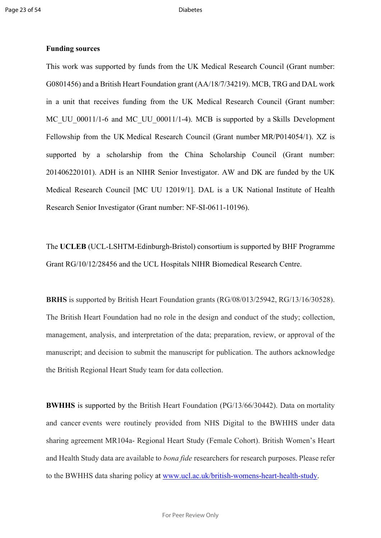### **Funding sources**

This work was supported by funds from the UK Medical Research Council (Grant number: G0801456) and a British Heart Foundation grant (AA/18/7/34219). MCB, TRG and DAL work in a unit that receives funding from the UK Medical Research Council (Grant number: MC\_UU\_00011/1-6 and MC\_UU\_00011/1-4). MCB\_ is supported by a Skills Development Fellowship from the UK Medical Research Council (Grant number MR/P014054/1). XZ is supported by a scholarship from the China Scholarship Council (Grant number: 201406220101). ADH is an NIHR Senior Investigator. AW and DK are funded by the UK Medical Research Council [MC UU 12019/1]. DAL is a UK National Institute of Health Research Senior Investigator (Grant number: NF-SI-0611-10196).

The **UCLEB** (UCL-LSHTM-Edinburgh-Bristol) consortium is supported by BHF Programme Grant RG/10/12/28456 and the UCL Hospitals NIHR Biomedical Research Centre.

**BRHS** is supported by British Heart Foundation grants (RG/08/013/25942, RG/13/16/30528). The British Heart Foundation had no role in the design and conduct of the study; collection, management, analysis, and interpretation of the data; preparation, review, or approval of the manuscript; and decision to submit the manuscript for publication. The authors acknowledge the British Regional Heart Study team for data collection.

**BWHHS** is supported by the British Heart Foundation (PG/13/66/30442). Data on mortality and cancer events were routinely provided from NHS Digital to the BWHHS under data sharing agreement MR104a- Regional Heart Study (Female Cohort). British Women's Heart and Health Study data are available to *bona fide* researchers for research purposes. Please refer to the BWHHS data sharing policy at [www.ucl.ac.uk/british-womens-heart-health-study.](http://www.ucl.ac.uk/british-womens-heart-health-study)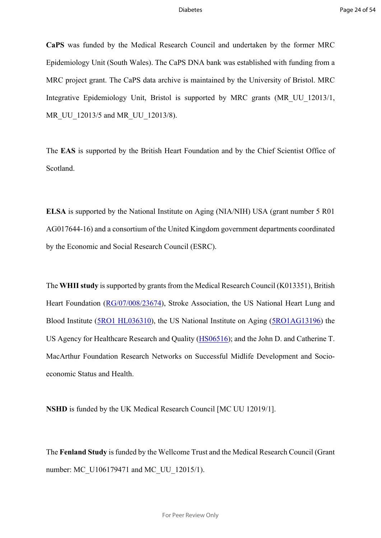**CaPS** was funded by the Medical Research Council and undertaken by the former MRC Epidemiology Unit (South Wales). The CaPS DNA bank was established with funding from a MRC project grant. The CaPS data archive is maintained by the University of Bristol. MRC Integrative Epidemiology Unit, Bristol is supported by MRC grants (MR\_UU\_12013/1, MR\_UU\_12013/5 and MR\_UU\_12013/8).

The **EAS** is supported by the British Heart Foundation and by the Chief Scientist Office of Scotland.

**ELSA** is supported by the National Institute on Aging (NIA/NIH) USA (grant number 5 R01 AG017644-16) and a consortium of the United Kingdom government departments coordinated by the Economic and Social Research Council (ESRC).

The **WHII study** is supported by grants from the Medical Research Council (K013351), British Heart Foundation [\(RG/07/008/23674](http://www.sciencedirect.com/science/article/pii/S2213858715003861#GS5)), Stroke Association, the US National Heart Lung and Blood Institute ([5RO1 HL036310](http://www.sciencedirect.com/science/article/pii/S2213858715003861#GS6)), the US National Institute on Aging [\(5RO1AG13196](http://www.sciencedirect.com/science/article/pii/S2213858715003861#GS7)) the US Agency for Healthcare Research and Quality ([HS06516](http://www.sciencedirect.com/science/article/pii/S2213858715003861#GS8)); and the John D. and Catherine T. MacArthur Foundation Research Networks on Successful Midlife Development and Socioeconomic Status and Health.

**NSHD** is funded by the UK Medical Research Council [MC UU 12019/1].

The **Fenland Study** is funded by the Wellcome Trust and the Medical Research Council (Grant number: MC\_U106179471 and MC\_UU\_12015/1).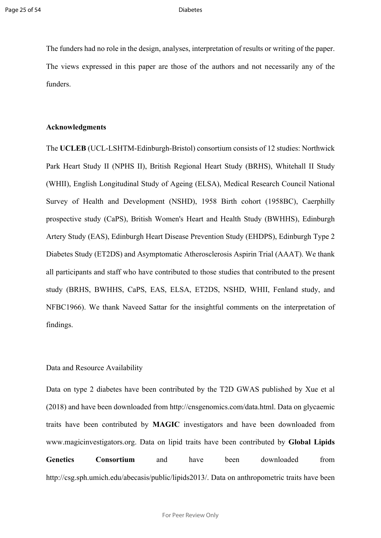The funders had no role in the design, analyses, interpretation of results or writing of the paper. The views expressed in this paper are those of the authors and not necessarily any of the funders.

### **Acknowledgments**

The **UCLEB** (UCL-LSHTM-Edinburgh-Bristol) consortium consists of 12 studies: Northwick Park Heart Study II (NPHS II), British Regional Heart Study (BRHS), Whitehall II Study (WHII), English Longitudinal Study of Ageing (ELSA), Medical Research Council National Survey of Health and Development (NSHD), 1958 Birth cohort (1958BC), Caerphilly prospective study (CaPS), British Women's Heart and Health Study (BWHHS), Edinburgh Artery Study (EAS), Edinburgh Heart Disease Prevention Study (EHDPS), Edinburgh Type 2 Diabetes Study (ET2DS) and Asymptomatic Atherosclerosis Aspirin Trial (AAAT). We thank all participants and staff who have contributed to those studies that contributed to the present study (BRHS, BWHHS, CaPS, EAS, ELSA, ET2DS, NSHD, WHII, Fenland study, and NFBC1966). We thank Naveed Sattar for the insightful comments on the interpretation of findings.

### Data and Resource Availability

Data on type 2 diabetes have been contributed by the T2D GWAS published by Xue et al (2018) and have been downloaded from http://cnsgenomics.com/data.html. Data on glycaemic traits have been contributed by **MAGIC** investigators and have been downloaded from www.magicinvestigators.org. Data on lipid traits have been contributed by **Global Lipids Genetics Consortium** and have been downloaded from http://csg.sph.umich.edu/abecasis/public/lipids2013/. Data on anthropometric traits have been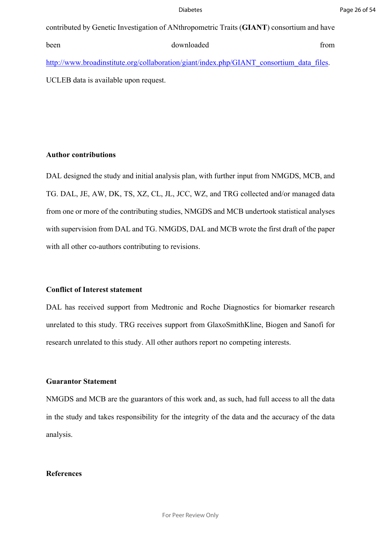contributed by Genetic Investigation of ANthropometric Traits (**GIANT**) consortium and have been downloaded from the downloaded from the set of the set of the set of the set of the set of the set of the set of the set of the set of the set of the set of the set of the set of the set of the set of the set of the s [http://www.broadinstitute.org/collaboration/giant/index.php/GIANT\\_consortium\\_data\\_files.](http://www.broadinstitute.org/collaboration/giant/index.php/GIANT_consortium_data_files) UCLEB data is available upon request.

### **Author contributions**

DAL designed the study and initial analysis plan, with further input from NMGDS, MCB, and TG. DAL, JE, AW, DK, TS, XZ, CL, JL, JCC, WZ, and TRG collected and/or managed data from one or more of the contributing studies, NMGDS and MCB undertook statistical analyses with supervision from DAL and TG. NMGDS, DAL and MCB wrote the first draft of the paper with all other co-authors contributing to revisions.

## **Conflict of Interest statement**

DAL has received support from Medtronic and Roche Diagnostics for biomarker research unrelated to this study. TRG receives support from GlaxoSmithKline, Biogen and Sanofi for research unrelated to this study. All other authors report no competing interests.

# **Guarantor Statement**

NMGDS and MCB are the guarantors of this work and, as such, had full access to all the data in the study and takes responsibility for the integrity of the data and the accuracy of the data analysis.

# **References**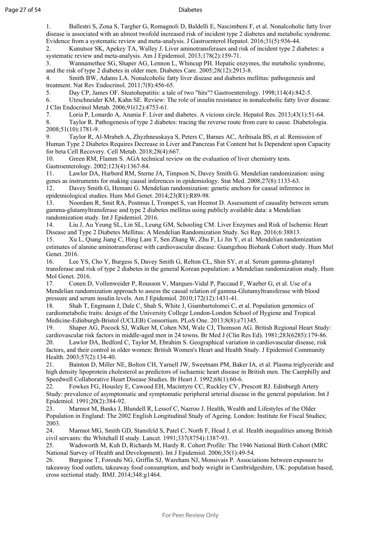1. Ballestri S, Zona S, Targher G, Romagnoli D, Baldelli E, Nascimbeni F, et al. Nonalcoholic fatty liver disease is associated with an almost twofold increased risk of incident type 2 diabetes and metabolic syndrome. Evidence from a systematic review and meta-analysis. J Gastroenterol Hepatol. 2016;31(5):936-44.

2. Kunutsor SK, Apekey TA, Walley J. Liver aminotransferases and risk of incident type 2 diabetes: a systematic review and meta-analysis. Am J Epidemiol. 2013;178(2):159-71.

3. Wannamethee SG, Shaper AG, Lennon L, Whincup PH. Hepatic enzymes, the metabolic syndrome, and the risk of type 2 diabetes in older men. Diabetes Care. 2005;28(12):2913-8.

4. Smith BW, Adams LA. Nonalcoholic fatty liver disease and diabetes mellitus: pathogenesis and treatment. Nat Rev Endocrinol. 2011;7(8):456-65.

5. Day CP, James OF. Steatohepatitis: a tale of two "hits"? Gastroenterology. 1998;114(4):842-5.

6. Utzschneider KM, Kahn SE. Review: The role of insulin resistance in nonalcoholic fatty liver disease. J Clin Endocrinol Metab. 2006;91(12):4753-61.

7. Loria P, Lonardo A, Anania F. Liver and diabetes. A vicious circle. Hepatol Res. 2013;43(1):51-64. 8. Taylor R. Pathogenesis of type 2 diabetes: tracing the reverse route from cure to cause. Diabetologia. 2008;51(10):1781-9.

9. Taylor R, Al-Mrabeh A, Zhyzhneuskaya S, Peters C, Barnes AC, Aribisala BS, et al. Remission of Human Type 2 Diabetes Requires Decrease in Liver and Pancreas Fat Content but Is Dependent upon Capacity for beta Cell Recovery. Cell Metab. 2018;28(4):667.

10. Green RM, Flamm S. AGA technical review on the evaluation of liver chemistry tests. Gastroenterology. 2002;123(4):1367-84.

11. Lawlor DA, Harbord RM, Sterne JA, Timpson N, Davey Smith G. Mendelian randomization: using genes as instruments for making causal inferences in epidemiology. Stat Med. 2008;27(8):1133-63.

12. Davey Smith G, Hemani G. Mendelian randomization: genetic anchors for causal inference in epidemiological studies. Hum Mol Genet. 2014;23(R1):R89-98.

13. Noordam R, Smit RA, Postmus I, Trompet S, van Heemst D. Assessment of causality between serum gamma-glutamyltransferase and type 2 diabetes mellitus using publicly available data: a Mendelian randomization study. Int J Epidemiol. 2016.

14. Liu J, Au Yeung SL, Lin SL, Leung GM, Schooling CM. Liver Enzymes and Risk of Ischemic Heart Disease and Type 2 Diabetes Mellitus: A Mendelian Randomization Study. Sci Rep. 2016;6:38813.

15. Xu L, Qiang Jiang C, Hing Lam T, Sen Zhang W, Zhu F, Li Jin Y, et al. Mendelian randomization estimates of alanine aminotransferase with cardiovascular disease: Guangzhou Biobank Cohort study. Hum Mol Genet. 2016.

16. Lee YS, Cho Y, Burgess S, Davey Smith G, Relton CL, Shin SY, et al. Serum gamma-glutamyl transferase and risk of type 2 diabetes in the general Korean population: a Mendelian randomization study. Hum Mol Genet. 2016.

17. Conen D, Vollenweider P, Rousson V, Marques-Vidal P, Paccaud F, Waeber G, et al. Use of a Mendelian randomization approach to assess the causal relation of gamma-Glutamyltransferase with blood pressure and serum insulin levels. Am J Epidemiol. 2010;172(12):1431-41.

18. Shah T, Engmann J, Dale C, Shah S, White J, Giambartolomei C, et al. Population genomics of cardiometabolic traits: design of the University College London-London School of Hygiene and Tropical Medicine-Edinburgh-Bristol (UCLEB) Consortium. PLoS One. 2013;8(8):e71345.

19. Shaper AG, Pocock SJ, Walker M, Cohen NM, Wale CJ, Thomson AG. British Regional Heart Study: cardiovascular risk factors in middle-aged men in 24 towns. Br Med J (Clin Res Ed). 1981;283(6285):179-86. 20. Lawlor DA, Bedford C, Taylor M, Ebrahim S. Geographical variation in cardiovascular disease, risk factors, and their control in older women: British Women's Heart and Health Study. J Epidemiol Community Health. 2003;57(2):134-40.

21. Bainton D, Miller NE, Bolton CH, Yarnell JW, Sweetnam PM, Baker IA, et al. Plasma triglyceride and high density lipoprotein cholesterol as predictors of ischaemic heart disease in British men. The Caerphilly and Speedwell Collaborative Heart Disease Studies. Br Heart J. 1992;68(1):60-6.

22. Fowkes FG, Housley E, Cawood EH, Macintyre CC, Ruckley CV, Prescott RJ. Edinburgh Artery Study: prevalence of asymptomatic and symptomatic peripheral arterial disease in the general population. Int J Epidemiol. 1991;20(2):384-92.

23. Marmot M, Banks J, Blundell R, Lessof C, Nazroo J. Health, Wealth and Lifestyles of the Older Population in England: The 2002 English Longitudinal Study of Ageing. London: Institute for Fiscal Studies; 2003.

24. Marmot MG, Smith GD, Stansfeld S, Patel C, North F, Head J, et al. Health inequalities among British civil servants: the Whitehall II study. Lancet. 1991;337(8754):1387-93.

25. Wadsworth M, Kuh D, Richards M, Hardy R. Cohort Profile: The 1946 National Birth Cohort (MRC National Survey of Health and Development). Int J Epidemiol. 2006;35(1):49-54.

26. Burgoine T, Forouhi NG, Griffin SJ, Wareham NJ, Monsivais P. Associations between exposure to takeaway food outlets, takeaway food consumption, and body weight in Cambridgeshire, UK: population based, cross sectional study. BMJ. 2014;348:g1464.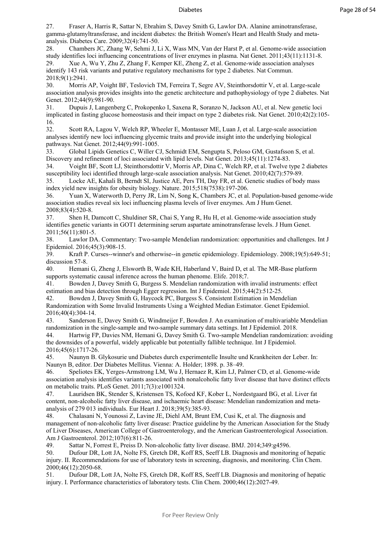27. Fraser A, Harris R, Sattar N, Ebrahim S, Davey Smith G, Lawlor DA. Alanine aminotransferase, gamma-glutamyltransferase, and incident diabetes: the British Women's Heart and Health Study and metaanalysis. Diabetes Care. 2009;32(4):741-50.

28. Chambers JC, Zhang W, Sehmi J, Li X, Wass MN, Van der Harst P, et al. Genome-wide association study identifies loci influencing concentrations of liver enzymes in plasma. Nat Genet. 2011;43(11):1131-8. 29. Xue A, Wu Y, Zhu Z, Zhang F, Kemper KE, Zheng Z, et al. Genome-wide association analyses identify 143 risk variants and putative regulatory mechanisms for type 2 diabetes. Nat Commun. 2018;9(1):2941.

30. Morris AP, Voight BF, Teslovich TM, Ferreira T, Segre AV, Steinthorsdottir V, et al. Large-scale association analysis provides insights into the genetic architecture and pathophysiology of type 2 diabetes. Nat Genet. 2012;44(9):981-90.

31. Dupuis J, Langenberg C, Prokopenko I, Saxena R, Soranzo N, Jackson AU, et al. New genetic loci implicated in fasting glucose homeostasis and their impact on type 2 diabetes risk. Nat Genet. 2010;42(2):105- 16.

32. Scott RA, Lagou V, Welch RP, Wheeler E, Montasser ME, Luan J, et al. Large-scale association analyses identify new loci influencing glycemic traits and provide insight into the underlying biological pathways. Nat Genet. 2012;44(9):991-1005.

33. Global Lipids Genetics C, Willer CJ, Schmidt EM, Sengupta S, Peloso GM, Gustafsson S, et al. Discovery and refinement of loci associated with lipid levels. Nat Genet. 2013;45(11):1274-83.

34. Voight BF, Scott LJ, Steinthorsdottir V, Morris AP, Dina C, Welch RP, et al. Twelve type 2 diabetes susceptibility loci identified through large-scale association analysis. Nat Genet. 2010;42(7):579-89.

35. Locke AE, Kahali B, Berndt SI, Justice AE, Pers TH, Day FR, et al. Genetic studies of body mass index yield new insights for obesity biology. Nature. 2015;518(7538):197-206.

36. Yuan X, Waterworth D, Perry JR, Lim N, Song K, Chambers JC, et al. Population-based genome-wide association studies reveal six loci influencing plasma levels of liver enzymes. Am J Hum Genet. 2008;83(4):520-8.

37. Shen H, Damcott C, Shuldiner SR, Chai S, Yang R, Hu H, et al. Genome-wide association study identifies genetic variants in GOT1 determining serum aspartate aminotransferase levels. J Hum Genet. 2011;56(11):801-5.

38. Lawlor DA. Commentary: Two-sample Mendelian randomization: opportunities and challenges. Int J Epidemiol. 2016;45(3):908-15.

39. Kraft P. Curses--winner's and otherwise--in genetic epidemiology. Epidemiology. 2008;19(5):649-51; discussion 57-8.

40. Hemani G, Zheng J, Elsworth B, Wade KH, Haberland V, Baird D, et al. The MR-Base platform supports systematic causal inference across the human phenome. Elife. 2018;7.

41. Bowden J, Davey Smith G, Burgess S. Mendelian randomization with invalid instruments: effect estimation and bias detection through Egger regression. Int J Epidemiol. 2015;44(2):512-25.

42. Bowden J, Davey Smith G, Haycock PC, Burgess S. Consistent Estimation in Mendelian Randomization with Some Invalid Instruments Using a Weighted Median Estimator. Genet Epidemiol. 2016;40(4):304-14.

43. Sanderson E, Davey Smith G, Windmeijer F, Bowden J. An examination of multivariable Mendelian randomization in the single-sample and two-sample summary data settings. Int J Epidemiol. 2018.

44. Hartwig FP, Davies NM, Hemani G, Davey Smith G. Two-sample Mendelian randomization: avoiding the downsides of a powerful, widely applicable but potentially fallible technique. Int J Epidemiol. 2016;45(6):1717-26.

45. Naunyn B. Glykosurie und Diabetes durch experimentelle Insulte und Krankheiten der Leber. In: Naunyn B, editor. Der Diabetes Mellitus. Vienna: A. Holder; 1898. p. 38–49.

46. Speliotes EK, Yerges-Armstrong LM, Wu J, Hernaez R, Kim LJ, Palmer CD, et al. Genome-wide association analysis identifies variants associated with nonalcoholic fatty liver disease that have distinct effects on metabolic traits. PLoS Genet. 2011;7(3):e1001324.

47. Lauridsen BK, Stender S, Kristensen TS, Kofoed KF, Kober L, Nordestgaard BG, et al. Liver fat content, non-alcoholic fatty liver disease, and ischaemic heart disease: Mendelian randomization and metaanalysis of 279 013 individuals. Eur Heart J. 2018;39(5):385-93.

48. Chalasani N, Younossi Z, Lavine JE, Diehl AM, Brunt EM, Cusi K, et al. The diagnosis and management of non-alcoholic fatty liver disease: Practice guideline by the American Association for the Study of Liver Diseases, American College of Gastroenterology, and the American Gastroenterological Association. Am J Gastroenterol. 2012;107(6):811-26.

49. Sattar N, Forrest E, Preiss D. Non-alcoholic fatty liver disease. BMJ. 2014;349:g4596.

50. Dufour DR, Lott JA, Nolte FS, Gretch DR, Koff RS, Seeff LB. Diagnosis and monitoring of hepatic injury. II. Recommendations for use of laboratory tests in screening, diagnosis, and monitoring. Clin Chem. 2000;46(12):2050-68.

51. Dufour DR, Lott JA, Nolte FS, Gretch DR, Koff RS, Seeff LB. Diagnosis and monitoring of hepatic injury. I. Performance characteristics of laboratory tests. Clin Chem. 2000;46(12):2027-49.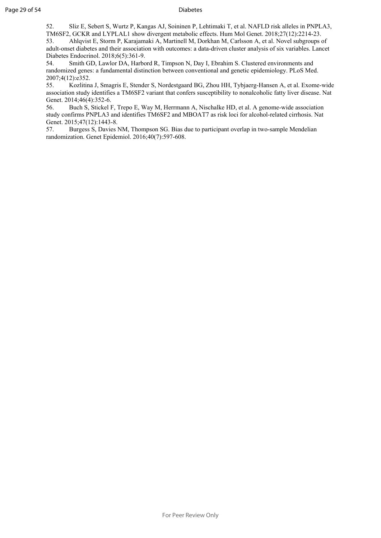52. Sliz E, Sebert S, Wurtz P, Kangas AJ, Soininen P, Lehtimaki T, et al. NAFLD risk alleles in PNPLA3, TM6SF2, GCKR and LYPLAL1 show divergent metabolic effects. Hum Mol Genet. 2018;27(12):2214-23.

53. Ahlqvist E, Storm P, Karajamaki A, Martinell M, Dorkhan M, Carlsson A, et al. Novel subgroups of adult-onset diabetes and their association with outcomes: a data-driven cluster analysis of six variables. Lancet Diabetes Endocrinol. 2018;6(5):361-9.

54. Smith GD, Lawlor DA, Harbord R, Timpson N, Day I, Ebrahim S. Clustered environments and randomized genes: a fundamental distinction between conventional and genetic epidemiology. PLoS Med. 2007;4(12):e352.

55. Kozlitina J, Smagris E, Stender S, Nordestgaard BG, Zhou HH, Tybjaerg-Hansen A, et al. Exome-wide association study identifies a TM6SF2 variant that confers susceptibility to nonalcoholic fatty liver disease. Nat Genet. 2014;46(4):352-6.

56. Buch S, Stickel F, Trepo E, Way M, Herrmann A, Nischalke HD, et al. A genome-wide association study confirms PNPLA3 and identifies TM6SF2 and MBOAT7 as risk loci for alcohol-related cirrhosis. Nat Genet. 2015;47(12):1443-8.

57. Burgess S, Davies NM, Thompson SG. Bias due to participant overlap in two-sample Mendelian randomization. Genet Epidemiol. 2016;40(7):597-608.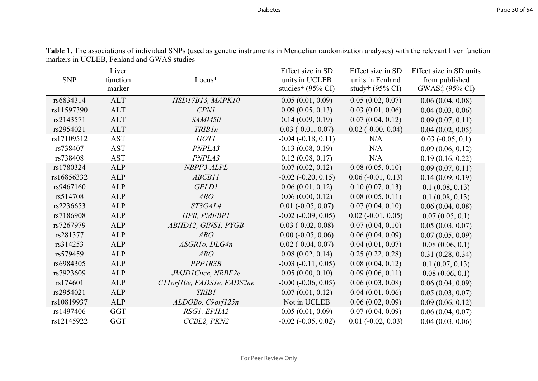| <b>SNP</b> | Liver<br>function<br>marker | $Locus*$                   | Effect size in SD<br>units in UCLEB<br>studies $\dagger$ (95% CI) | Effect size in SD<br>units in Fenland<br>study† $(95\% \text{ CI})$ | Effect size in SD units<br>from published<br>GWAS‡ (95% CI) |
|------------|-----------------------------|----------------------------|-------------------------------------------------------------------|---------------------------------------------------------------------|-------------------------------------------------------------|
| rs6834314  | <b>ALT</b>                  | HSD17B13, MAPK10           | 0.05(0.01, 0.09)                                                  | 0.05(0.02, 0.07)                                                    | 0.06(0.04, 0.08)                                            |
| rs11597390 | <b>ALT</b>                  | <b>CPN1</b>                | 0.09(0.05, 0.13)                                                  | 0.03(0.01, 0.06)                                                    | 0.04(0.03, 0.06)                                            |
| rs2143571  | <b>ALT</b>                  | SAMM50                     | 0.14(0.09, 0.19)                                                  | 0.07(0.04, 0.12)                                                    | 0.09(0.07, 0.11)                                            |
| rs2954021  | <b>ALT</b>                  | <b>TRIB1n</b>              | $0.03$ ( $-0.01$ , $0.07$ )                                       | $0.02$ ( $-0.00$ , $0.04$ )                                         | 0.04(0.02, 0.05)                                            |
| rs17109512 | <b>AST</b>                  | GOTI                       | $-0.04$ $(-0.18, 0.11)$                                           | N/A                                                                 | $0.03$ ( $-0.05$ , $0.1$ )                                  |
| rs738407   | <b>AST</b>                  | PNPLA3                     | 0.13(0.08, 0.19)                                                  | N/A                                                                 | 0.09(0.06, 0.12)                                            |
| rs738408   | <b>AST</b>                  | PNPLA3                     | 0.12(0.08, 0.17)                                                  | N/A                                                                 | 0.19(0.16, 0.22)                                            |
| rs1780324  | <b>ALP</b>                  | NBPF3-ALPL                 | 0.07(0.02, 0.12)                                                  | 0.08(0.05, 0.10)                                                    | 0.09(0.07, 0.11)                                            |
| rs16856332 | <b>ALP</b>                  | ABCB11                     | $-0.02$ $(-0.20, 0.15)$                                           | $0.06(-0.01, 0.13)$                                                 | 0.14(0.09, 0.19)                                            |
| rs9467160  | <b>ALP</b>                  | <b>GPLD1</b>               | 0.06(0.01, 0.12)                                                  | 0.10(0.07, 0.13)                                                    | 0.1(0.08, 0.13)                                             |
| rs514708   | <b>ALP</b>                  | ABO                        | 0.06(0.00, 0.12)                                                  | 0.08(0.05, 0.11)                                                    | 0.1(0.08, 0.13)                                             |
| rs2236653  | <b>ALP</b>                  | ST3GAL4                    | $0.01$ ( $-0.05, 0.07$ )                                          | 0.07(0.04, 0.10)                                                    | 0.06(0.04, 0.08)                                            |
| rs7186908  | ALP                         | HPR, PMFBP1                | $-0.02$ $(-0.09, 0.05)$                                           | $0.02$ ( $-0.01$ , $0.05$ )                                         | 0.07(0.05, 0.1)                                             |
| rs7267979  | ALP                         | ABHD12, GINS1, PYGB        | $0.03$ ( $-0.02$ , $0.08$ )                                       | 0.07(0.04, 0.10)                                                    | 0.05(0.03, 0.07)                                            |
| rs281377   | <b>ALP</b>                  | ABO                        | $0.00 (-0.05, 0.06)$                                              | 0.06(0.04, 0.09)                                                    | 0.07(0.05, 0.09)                                            |
| rs314253   | <b>ALP</b>                  | ASGR10, DLG4n              | $0.02$ ( $-0.04$ , $0.07$ )                                       | 0.04(0.01, 0.07)                                                    | 0.08(0.06, 0.1)                                             |
| rs579459   | <b>ALP</b>                  | ABO                        | 0.08(0.02, 0.14)                                                  | 0.25(0.22, 0.28)                                                    | 0.31(0.28, 0.34)                                            |
| rs6984305  | <b>ALP</b>                  | PPP1R3B                    | $-0.03$ $(-0.11, 0.05)$                                           | 0.08(0.04, 0.12)                                                    | 0.1(0.07, 0.13)                                             |
| rs7923609  | <b>ALP</b>                  | JMJD1Cnce, NRBF2e          | 0.05(0.00, 0.10)                                                  | 0.09(0.06, 0.11)                                                    | 0.08(0.06, 0.1)                                             |
| rs174601   | <b>ALP</b>                  | C11orf10e, FADS1e, FADS2ne | $-0.00$ $(-0.06, 0.05)$                                           | 0.06(0.03, 0.08)                                                    | 0.06(0.04, 0.09)                                            |
| rs2954021  | <b>ALP</b>                  | <b>TRIB1</b>               | 0.07(0.01, 0.12)                                                  | 0.04(0.01, 0.06)                                                    | 0.05(0.03, 0.07)                                            |
| rs10819937 | <b>ALP</b>                  | ALDOBo, C9orf125n          | Not in UCLEB                                                      | 0.06(0.02, 0.09)                                                    | 0.09(0.06, 0.12)                                            |
| rs1497406  | GGT                         | RSG1, EPHA2                | 0.05(0.01, 0.09)                                                  | 0.07(0.04, 0.09)                                                    | 0.06(0.04, 0.07)                                            |
| rs12145922 | <b>GGT</b>                  | CCBL2, PKN2                | $-0.02$ $(-0.05, 0.02)$                                           | $0.01 (-0.02, 0.03)$                                                | 0.04(0.03, 0.06)                                            |

**Table 1.** The associations of individual SNPs (used as genetic instruments in Mendelian randomization analyses) with the relevant liver function markers in UCLEB, Fenland and GWAS studies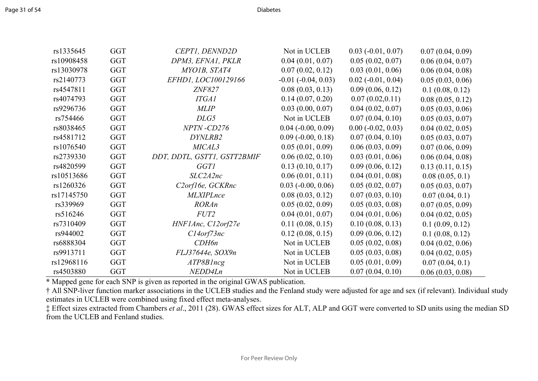| <b>Diabetes</b> |  |
|-----------------|--|
|-----------------|--|

| rs1335645  | <b>GGT</b> | CEPTI, DENND2D              | Not in UCLEB                | $0.03$ ( $-0.01$ , $0.07$ ) | 0.07(0.04, 0.09) |
|------------|------------|-----------------------------|-----------------------------|-----------------------------|------------------|
| rs10908458 | <b>GGT</b> | DPM3, EFNA1, PKLR           | 0.04(0.01, 0.07)            | 0.05(0.02, 0.07)            | 0.06(0.04, 0.07) |
| rs13030978 | <b>GGT</b> | MYO1B, STAT4                | 0.07(0.02, 0.12)            | 0.03(0.01, 0.06)            | 0.06(0.04, 0.08) |
| rs2140773  | <b>GGT</b> | EFHD1, LOC100129166         | $-0.01$ $(-0.04, 0.03)$     | $0.02$ ( $-0.01$ , $0.04$ ) | 0.05(0.03, 0.06) |
| rs4547811  | GGT        | <b>ZNF827</b>               | 0.08(0.03, 0.13)            | 0.09(0.06, 0.12)            | 0.1(0.08, 0.12)  |
| rs4074793  | GGT        | <b>ITGA1</b>                | 0.14(0.07, 0.20)            | 0.07(0.02, 0.11)            | 0.08(0.05, 0.12) |
| rs9296736  | GGT        | <b>MLIP</b>                 | 0.03(0.00, 0.07)            | 0.04(0.02, 0.07)            | 0.05(0.03, 0.06) |
| rs754466   | GGT        | DLG5                        | Not in UCLEB                | 0.07(0.04, 0.10)            | 0.05(0.03, 0.07) |
| rs8038465  | <b>GGT</b> | NPTN-CD276                  | $0.04$ ( $-0.00, 0.09$ )    | $0.00 (-0.02, 0.03)$        | 0.04(0.02, 0.05) |
| rs4581712  | GGT        | DYNLRB2                     | $0.09$ ( $-0.00$ , $0.18$ ) | 0.07(0.04, 0.10)            | 0.05(0.03, 0.07) |
| rs1076540  | <b>GGT</b> | MICAL <sub>3</sub>          | 0.05(0.01, 0.09)            | 0.06(0.03, 0.09)            | 0.07(0.06, 0.09) |
| rs2739330  | GGT        | DDT, DDTL, GSTT1, GSTT2BMIF | 0.06(0.02, 0.10)            | 0.03(0.01, 0.06)            | 0.06(0.04, 0.08) |
| rs4820599  | GGT        | <b>GGT1</b>                 | 0.13(0.10, 0.17)            | 0.09(0.06, 0.12)            | 0.13(0.11, 0.15) |
| rs10513686 | <b>GGT</b> | SLC2A2nc                    | 0.06(0.01, 0.11)            | 0.04(0.01, 0.08)            | 0.08(0.05, 0.1)  |
| rs1260326  | GGT        | C2orf16e, GCKRnc            | $0.03$ ( $-0.00, 0.06$ )    | 0.05(0.02, 0.07)            | 0.05(0.03, 0.07) |
| rs17145750 | <b>GGT</b> | <b>MLXIPLnce</b>            | 0.08(0.03, 0.12)            | 0.07(0.03, 0.10)            | 0.07(0.04, 0.1)  |
| rs339969   | GGT        | <b>RORAn</b>                | 0.05(0.02, 0.09)            | 0.05(0.03, 0.08)            | 0.07(0.05, 0.09) |
| rs516246   | <b>GGT</b> | FUT2                        | 0.04(0.01, 0.07)            | 0.04(0.01, 0.06)            | 0.04(0.02, 0.05) |
| rs7310409  | GGT        | HNF1Anc, C12orf27e          | 0.11(0.08, 0.15)            | 0.10(0.08, 0.13)            | 0.1(0.09, 0.12)  |
| rs944002   | <b>GGT</b> | $C14$ orf $73nc$            | 0.12(0.08, 0.15)            | 0.09(0.06, 0.12)            | 0.1(0.08, 0.12)  |
| rs6888304  | <b>GGT</b> | CDH6n                       | Not in UCLEB                | 0.05(0.02, 0.08)            | 0.04(0.02, 0.06) |
| rs9913711  | GGT        | FLJ37644e, SOX9n            | Not in UCLEB                | 0.05(0.03, 0.08)            | 0.04(0.02, 0.05) |
| rs12968116 | GGT        | ATP8Blncg                   | Not in UCLEB                | 0.05(0.01, 0.09)            | 0.07(0.04, 0.1)  |
| rs4503880  | <b>GGT</b> | NEDD4Ln                     | Not in UCLEB                | 0.07(0.04, 0.10)            | 0.06(0.03, 0.08) |

**\*** Mapped gene for each SNP is given as reported in the original GWAS publication.

† All SNP-liver function marker associations in the UCLEB studies and the Fenland study were adjusted for age and sex (if relevant). Individual study estimates in UCLEB were combined using fixed effect meta-analyses.

‡ Effect sizes extracted from Chambers *et al*., 2011 (28). GWAS effect sizes for ALT, ALP and GGT were converted to SD units using the median SD from the UCLEB and Fenland studies.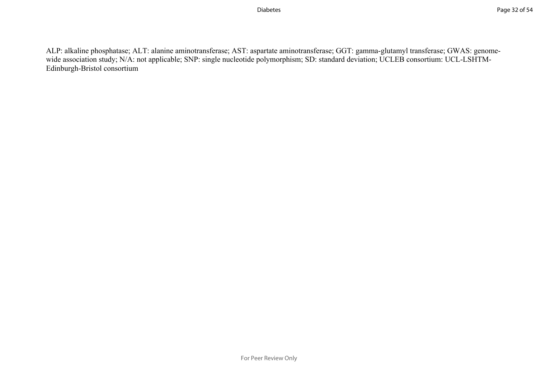ALP: alkaline phosphatase; ALT: alanine aminotransferase; AST: aspartate aminotransferase; GGT: gamma-glutamyl transferase; GWAS: genomewide association study; N/A: not applicable; SNP: single nucleotide polymorphism; SD: standard deviation; UCLEB consortium: UCL-LSHTM-Edinburgh-Bristol consortium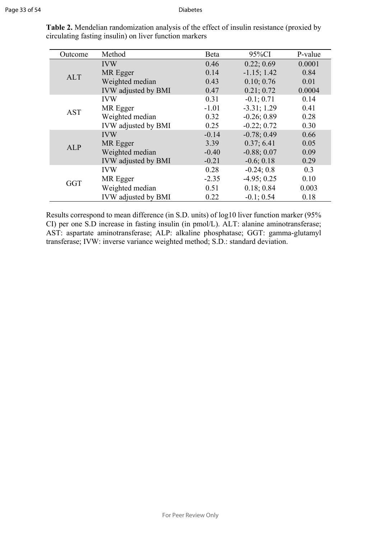| Outcome    | Method              | Beta    | 95%CI         | P-value |
|------------|---------------------|---------|---------------|---------|
|            | <b>IVW</b>          | 0.46    | 0.22; 0.69    | 0.0001  |
| <b>ALT</b> | MR Egger            | 0.14    | $-1.15; 1.42$ | 0.84    |
|            | Weighted median     | 0.43    | 0.10; 0.76    | 0.01    |
|            | IVW adjusted by BMI | 0.47    | 0.21; 0.72    | 0.0004  |
|            | <b>IVW</b>          | 0.31    | $-0.1; 0.71$  | 0.14    |
| <b>AST</b> | MR Egger            | $-1.01$ | $-3.31; 1.29$ | 0.41    |
|            | Weighted median     | 0.32    | $-0.26; 0.89$ | 0.28    |
|            | IVW adjusted by BMI | 0.25    | $-0.22; 0.72$ | 0.30    |
|            | <b>IVW</b>          | $-0.14$ | $-0.78; 0.49$ | 0.66    |
| <b>ALP</b> | MR Egger            | 3.39    | 0.37; 6.41    | 0.05    |
|            | Weighted median     | $-0.40$ | $-0.88; 0.07$ | 0.09    |
|            | IVW adjusted by BMI | $-0.21$ | $-0.6; 0.18$  | 0.29    |
|            | <b>IVW</b>          | 0.28    | $-0.24; 0.8$  | 0.3     |
|            | MR Egger            | $-2.35$ | $-4.95; 0.25$ | 0.10    |
| <b>GGT</b> | Weighted median     | 0.51    | 0.18; 0.84    | 0.003   |
|            | IVW adjusted by BMI | 0.22    | $-0.1; 0.54$  | 0.18    |

**Table 2.** Mendelian randomization analysis of the effect of insulin resistance (proxied by circulating fasting insulin) on liver function markers

Results correspond to mean difference (in S.D. units) of log10 liver function marker (95% CI) per one S.D increase in fasting insulin (in pmol/L). ALT: alanine aminotransferase; AST: aspartate aminotransferase; ALP: alkaline phosphatase; GGT: gamma-glutamyl transferase; IVW: inverse variance weighted method; S.D.: standard deviation.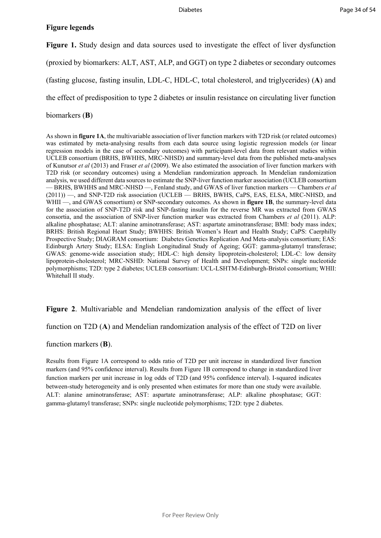## **Figure legends**

Figure 1. Study design and data sources used to investigate the effect of liver dysfunction (proxied by biomarkers: ALT, AST, ALP, and GGT) on type 2 diabetes or secondary outcomes (fasting glucose, fasting insulin, LDL-C, HDL-C, total cholesterol, and triglycerides) (**A**) and the effect of predisposition to type 2 diabetes or insulin resistance on circulating liver function

biomarkers (**B**)

As shown in **figure 1A**, the multivariable association of liver function markers with T2D risk (or related outcomes) was estimated by meta-analysing results from each data source using logistic regression models (or linear regression models in the case of secondary outcomes) with participant-level data from relevant studies within UCLEB consortium (BRHS, BWHHS, MRC-NHSD) and summary-level data from the published meta-analyses of Kunutsor *et al* (2013) and Fraser *et al* (2009). We also estimated the association of liver function markers with T2D risk (or secondary outcomes) using a Mendelian randomization approach. In Mendelian randomization analysis, we used different data sources to estimate the SNP-liver function marker association (UCLEB consortium — BRHS, BWHHS and MRC-NHSD —, Fenland study, and GWAS of liver function markers — Chambers *et al* (2011)) —, and SNP-T2D risk association (UCLEB — BRHS, BWHS, CaPS, EAS, ELSA, MRC-NHSD, and WHII —, and GWAS consortium) or SNP-secondary outcomes. As shown in **figure 1B**, the summary-level data for the association of SNP-T2D risk and SNP-fasting insulin for the reverse MR was extracted from GWAS consortia, and the association of SNP-liver function marker was extracted from Chambers *et al* (2011). ALP: alkaline phosphatase; ALT: alanine aminotransferase; AST: aspartate aminotransferase; BMI: body mass index; BRHS: British Regional Heart Study; BWHHS: British Women's Heart and Health Study; CaPS: Caerphilly Prospective Study; DIAGRAM consortium: Diabetes Genetics Replication And Meta-analysis consortium; EAS: Edinburgh Artery Study; ELSA: English Longitudinal Study of Ageing; GGT: gamma-glutamyl transferase; GWAS: genome-wide association study; HDL-C: high density lipoprotein-cholesterol; LDL-C: low density lipoprotein-cholesterol; MRC-NSHD: National Survey of Health and Development; SNPs: single nucleotide polymorphisms; T2D: type 2 diabetes; UCLEB consortium: UCL-LSHTM-Edinburgh-Bristol consortium; WHII: Whitehall II study.

**Figure 2**. Multivariable and Mendelian randomization analysis of the effect of liver

function on T2D (**A**) and Mendelian randomization analysis of the effect of T2D on liver

function markers (**B**).

Results from Figure 1A correspond to odds ratio of T2D per unit increase in standardized liver function markers (and 95% confidence interval). Results from Figure 1B correspond to change in standardized liver function markers per unit increase in log odds of T2D (and 95% confidence interval). I-squared indicates between-study heterogeneity and is only presented when estimates for more than one study were available. ALT: alanine aminotransferase; AST: aspartate aminotransferase; ALP: alkaline phosphatase; GGT: gamma-glutamyl transferase; SNPs: single nucleotide polymorphisms; T2D: type 2 diabetes.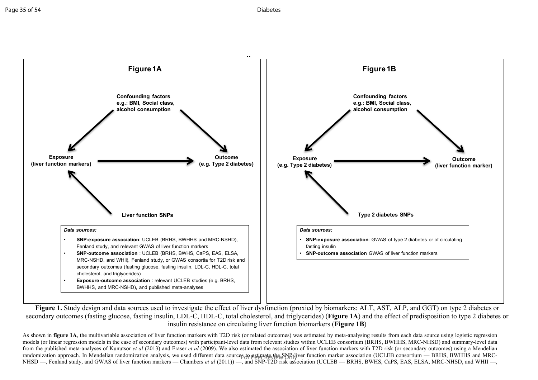

Figure 1. Study design and data sources used to investigate the effect of liver dysfunction (proxied by biomarkers: ALT, AST, ALP, and GGT) on type 2 diabetes or secondary outcomes (fasting glucose, fasting insulin, LDL-C, HDL-C, total cholesterol, and triglycerides) (**Figure 1A**) and the effect of predisposition to type 2 diabetes or insulin resistance on circulating liver function biomarkers (**Figure 1B**)

As shown in **figure 1A**, the multivariable association of liver function markers with T2D risk (or related outcomes) was estimated by meta-analysing results from each data source using logistic regression models (or linear regression models in the case of secondary outcomes) with participant-level data from relevant studies within UCLEB consortium (BRHS, BWHHS, MRC-NHSD) and summary-level data from the published meta-analyses of Kunutsor *et al* (2013) and Fraser *et al* (2009). We also estimated the association of liver function markers with T2D risk (or secondary outcomes) using a Mendelian randomization approach. In Mendelian randomization analysis, we used different data sources to estimate the SNP-liver function marker association (UCLEB consortium — BRHS, BWHHS and MRC-<br>Clear to the consortium and Clear t NHSD —, Fenland study, and GWAS of liver function markers — Chambers *et al* (2011)) —, and SNP-T2D risk association (UCLEB — BRHS, BWHS, CaPS, EAS, ELSA, MRC-NHSD, and WHII —,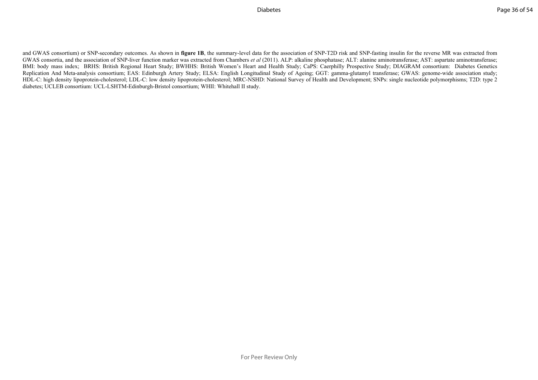and GWAS consortium) or SNP-secondary outcomes. As shown in figure 1B, the summary-level data for the association of SNP-T2D risk and SNP-fasting insulin for the reverse MR was extracted from GWAS consortia, and the association of SNP-liver function marker was extracted from Chambers *et al* (2011). ALP: alkaline phosphatase; ALT: alanine aminotransferase; AST: aspartate aminotransferase; BMI: body mass index; BRHS: British Regional Heart Study; BWHHS: British Women's Heart and Health Study; CaPS: Caerphilly Prospective Study; DIAGRAM consortium: Diabetes Genetics Replication And Meta-analysis consortium; EAS: Edinburgh Artery Study; ELSA: English Longitudinal Study of Ageing; GGT: gamma-glutamyl transferase; GWAS: genome-wide association study; HDL-C: high density lipoprotein-cholesterol; LDL-C: low density lipoprotein-cholesterol; MRC-NSHD: National Survey of Health and Development; SNPs: single nucleotide polymorphisms; T2D: type 2 diabetes; UCLEB consortium: UCL-LSHTM-Edinburgh-Bristol consortium; WHII: Whitehall II study.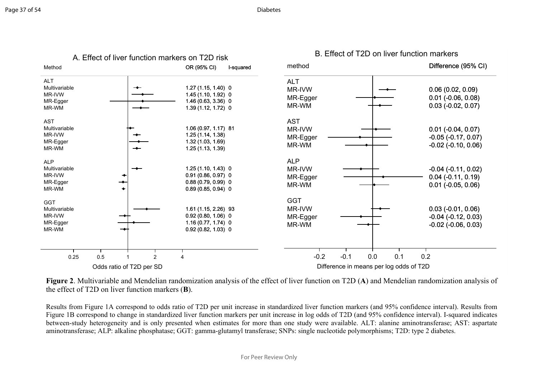

B. Effect of T2D on liver function markers

**Figure 2**. Multivariable and Mendelian randomization analysis of the effect of liver function on T2D (**A**) and Mendelian randomization analysis of the effect of T2D on liver function markers (**B**).

Results from Figure 1A correspond to odds ratio of T2D per unit increase in standardized liver function markers (and 95% confidence interval). Results from Figure 1B correspond to change in standardized liver function markers per unit increase in log odds of T2D (and 95% confidence interval). I-squared indicates between-study heterogeneity and is only presented when estimates for more than one study were available. ALT: alanine aminotransferase; AST: aspartate aminotransferase; ALP: alkaline phosphatase; GGT: gamma-glutamyl transferase; SNPs: single nucleotide polymorphisms; T2D: type 2 diabetes.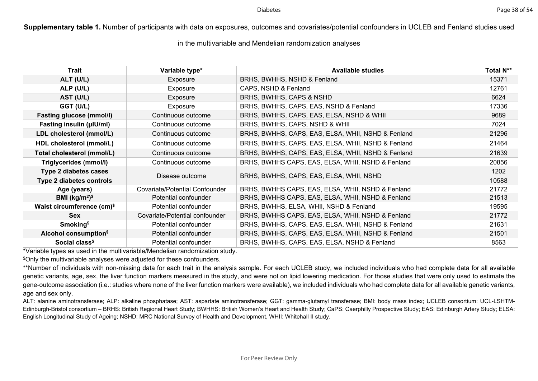**Supplementary table 1.** Number of participants with data on exposures, outcomes and covariates/potential confounders in UCLEB and Fenland studies used

### in the multivariable and Mendelian randomization analyses

| <b>Trait</b>                           | Variable type*                 | <b>Available studies</b>                           | Total N** |
|----------------------------------------|--------------------------------|----------------------------------------------------|-----------|
| ALT (U/L)                              | Exposure                       | BRHS, BWHHS, NSHD & Fenland                        | 15371     |
| ALP (U/L)                              | Exposure                       | CAPS, NSHD & Fenland                               | 12761     |
| AST (U/L)                              | Exposure                       | BRHS, BWHHS, CAPS & NSHD                           | 6624      |
| GGT (U/L)                              | Exposure                       | BRHS, BWHHS, CAPS, EAS, NSHD & Fenland             | 17336     |
| <b>Fasting glucose (mmol/l)</b>        | Continuous outcome             | BRHS, BWHHS, CAPS, EAS, ELSA, NSHD & WHII          | 9689      |
| <b>Fasting insulin (µIU/mI)</b>        | Continuous outcome             | BRHS, BWHHS, CAPS, NSHD & WHII                     | 7024      |
| LDL cholesterol (mmol/L)               | Continuous outcome             | BRHS, BWHHS, CAPS, EAS, ELSA, WHII, NSHD & Fenland | 21296     |
| <b>HDL cholesterol (mmol/L)</b>        | Continuous outcome             | BRHS, BWHHS, CAPS, EAS, ELSA, WHII, NSHD & Fenland | 21464     |
| Total cholesterol (mmol/L)             | Continuous outcome             | BRHS, BWHHS, CAPS, EAS, ELSA, WHII, NSHD & Fenland | 21639     |
| Triglycerides (mmol/l)                 | Continuous outcome             | BRHS, BWHHS CAPS, EAS, ELSA, WHII, NSHD & Fenland  | 20856     |
| <b>Type 2 diabetes cases</b>           |                                |                                                    | 1202      |
| <b>Type 2 diabetes controls</b>        | Disease outcome                | BRHS, BWHHS, CAPS, EAS, ELSA, WHII, NSHD           | 10588     |
| Age (years)                            | Covariate/Potential Confounder | BRHS, BWHHS CAPS, EAS, ELSA, WHII, NSHD & Fenland  | 21772     |
| BMI $(kg/m2)§$                         | Potential confounder           | BRHS, BWHHS CAPS, EAS, ELSA, WHII, NSHD & Fenland  | 21513     |
| Waist circumference (cm) <sup>\$</sup> | Potential confounder           | BRHS, BWHHS, ELSA, WHII, NSHD & Fenland            | 19595     |
| <b>Sex</b>                             | Covariate/Potential confounder | BRHS, BWHHS CAPS, EAS, ELSA, WHII, NSHD & Fenland  | 21772     |
| <b>Smoking</b> <sup>\$</sup>           | Potential confounder           | BRHS, BWHHS, CAPS, EAS, ELSA, WHII, NSHD & Fenland | 21631     |
| Alcohol consumption <sup>\$</sup>      | Potential confounder           | BRHS, BWHHS, CAPS, EAS, ELSA, WHII, NSHD & Fenland | 21501     |
| Social class <sup>\$</sup>             | Potential confounder           | BRHS, BWHHS, CAPS, EAS, ELSA, NSHD & Fenland       | 8563      |

\*Variable types as used in the multivariable/Mendelian randomization study.

\$Only the multivariable analyses were adjusted for these confounders.

\*\*Number of individuals with non-missing data for each trait in the analysis sample. For each UCLEB study, we included individuals who had complete data for all available genetic variants, age, sex, the liver function markers measured in the study, and were not on lipid lowering medication. For those studies that were only used to estimate the gene-outcome association (i.e.: studies where none of the liver function markers were available), we included individuals who had complete data for all available genetic variants, age and sex only.

ALT: alanine aminotransferase; ALP: alkaline phosphatase; AST: aspartate aminotransferase; GGT: gamma-glutamyl transferase; BMI: body mass index; UCLEB consortium: UCL-LSHTM-Edinburgh-Bristol consortium – BRHS: British Regional Heart Study; BWHHS: British Women's Heart and Health Study; CaPS: Caerphilly Prospective Study; EAS: Edinburgh Artery Study; ELSA: English Longitudinal Study of Ageing; NSHD: MRC National Survey of Health and Development, WHII: Whitehall II study.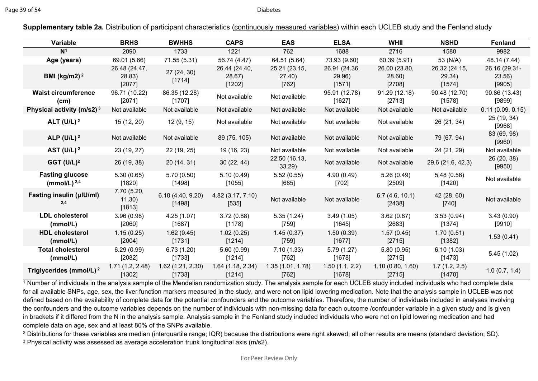**Supplementary table 2a.** Distribution of participant characteristics (continuously measured variables) within each UCLEB study and the Fenland study

| <b>Variable</b>                             | <b>BRHS</b>                       | <b>BWHHS</b>                | <b>CAPS</b>                       | <b>EAS</b>                       | <b>ELSA</b>                       | <b>WHII</b>                       | <b>NSHD</b>                       | <b>Fenland</b>                    |
|---------------------------------------------|-----------------------------------|-----------------------------|-----------------------------------|----------------------------------|-----------------------------------|-----------------------------------|-----------------------------------|-----------------------------------|
| N <sup>1</sup>                              | 2090                              | 1733                        | 1221                              | 762                              | 1688                              | 2716                              | 1580                              | 9982                              |
| Age (years)                                 | 69.01 (5.66)                      | 71.55 (5.31)                | 56.74 (4.47)                      | 64.51 (5.64)                     | 73.93 (9.60)                      | 60.39 (5.91)                      | 53 (N/A)                          | 48.14 (7.44)                      |
| BMI (kg/m2) $2$                             | 26.48 (24.47,<br>28.83)<br>[2077] | 27(24, 30)<br>[1714]        | 26.44 (24.40,<br>28.67)<br>[1202] | 25.21 (23.15,<br>27.40)<br>[762] | 26.91 (24.36,<br>29.96)<br>[1571] | 26.00 (23.80,<br>28.60)<br>[2708] | 26.32 (24.15,<br>29.34)<br>[1574] | 26.16 (29.31-<br>23.56)<br>[9905] |
| <b>Waist circumference</b><br>(cm)          | 96.71 (10.22)<br>$[2071]$         | 86.35 (12.28)<br>[1707]     | Not available                     | Not available                    | 95.91 (12.78)<br>[1627]           | 91.29 (12.18)<br>[2713]           | 90.48 (12.70)<br>$[1578]$         | 90.86 (13.43)<br>$[9899]$         |
| Physical activity (m/s2) $3$                | Not available                     | Not available               | Not available                     | Not available                    | Not available                     | Not available                     | Not available                     | 0.11(0.09, 0.15)                  |
| ALT (U/L) $^2$                              | 15 (12, 20)                       | 12(9, 15)                   | Not available                     | Not available                    | Not available                     | Not available                     | 26 (21, 34)                       | 25 (19, 34)<br>[9968]             |
| ALP $(U/L)^2$                               | Not available                     | Not available               | 89 (75, 105)                      | Not available                    | Not available                     | Not available                     | 79 (67, 94)                       | 83 (69, 98)<br>[9960]             |
| AST (U/L) $2$                               | 23 (19, 27)                       | 22 (19, 25)                 | 19 (16, 23)                       | Not available                    | Not available                     | Not available                     | 24 (21, 29)                       | Not available                     |
| $GGT (U/L)^2$                               | 26 (19, 38)                       | 20(14, 31)                  | 30(22, 44)                        | 22.50 (16.13,<br>33.29           | Not available                     | Not available                     | 29.6 (21.6, 42.3)                 | 26 (20, 38)<br>[9950]             |
| <b>Fasting glucose</b><br>(mmol/L) $^{2,4}$ | 5.30(0.65)<br>[1820]              | 5.70(0.50)<br>[1498]        | 5.10(0.49)<br>$[1055]$            | 5.52(0.55)<br>$[685]$            | 4.90(0.49)<br>$[702]$             | 5.26(0.49)<br>$[2509]$            | 5.48(0.56)<br>[1420]              | Not available                     |
| Fasting insulin (µIU/ml)<br>2,4             | 7.70 (5.20,<br>11.30)<br>[1813]   | 6.10(4.40, 9.20)<br>[1498]  | 4.82 (3.17, 7.10)<br>[535]        | Not available                    | Not available                     | 6.7(4.6, 10.1)<br>[2438]          | 42 (28, 60)<br>$[740]$            | Not available                     |
| <b>LDL</b> cholesterol<br>(mmol/L)          | 3.96(0.98)<br>[2060]              | 4.25(1.07)<br>[1687]        | 3.72(0.88)<br>[1178]              | 5.35(1.24)<br>$[759]$            | 3.49(1.05)<br>[1645]              | 3.62(0.87)<br>[2683]              | 3.53(0.94)<br>$[1374]$            | 3.43(0.90)<br>[9910]              |
| <b>HDL cholesterol</b><br>(mmol/L)          | 1.15(0.25)<br>[2004]              | 1.62(0.45)<br>[1731]        | 1.02(0.25)<br>[1214]              | 1.45(0.37)<br>$[759]$            | 1.50(0.39)<br>[1677]              | 1.57(0.45)<br>[2715]              | 1.70(0.51)<br>[1382]              | 1.53(0.41)                        |
| <b>Total cholesterol</b><br>(mmol/L)        | 6.29(0.99)<br>[2082]              | 6.73(1.20)<br>[1733]        | 5.60(0.99)<br>[1214]              | 7.10(1.33)<br>$[762]$            | 5.79(1.27)<br>[1678]              | 5.80(0.95)<br>[2715]              | 6.10(1.03)<br>[1473]              | 5.45(1.02)                        |
| Triglycerides (mmol/L) <sup>2</sup>         | 1.71(1.2, 2.48)<br>[1302]         | 1.62 (1.21, 2.30)<br>[1733] | 1.64(1.18, 2.34)<br>[1214]        | 1.35(1.01, 1.78)<br>[762]        | 1.50(1.1, 2.2)<br>[1678]          | 1.10(0.80, 1.60)<br>[2715]        | 1.7(1.2, 2.5)<br>[1470]           | 1.0(0.7, 1.4)                     |

1 Number of individuals in the analysis sample of the Mendelian randomization study. The analysis sample for each UCLEB study included individuals who had complete data for all available SNPs, age, sex, the liver function markers measured in the study, and were not on lipid lowering medication. Note that the analysis sample in UCLEB was not defined based on the availability of complete data for the potential confounders and the outcome variables. Therefore, the number of individuals included in analyses involving the confounders and the outcome variables depends on the number of individuals with non-missing data for each outcome /confounder variable in a given study and is given in brackets if it differed from the N in the analysis sample. Analysis sample in the Fenland study included individuals who were not on lipid lowering medication and had complete data on age, sex and at least 80% of the SNPs available.

 $^2$  Distributions for these variables are median (interquartile range; IQR) because the distributions were right skewed; all other results are means (standard deviation; SD).

<sup>3</sup> Physical activity was assessed as average acceleration trunk longitudinal axis (m/s2).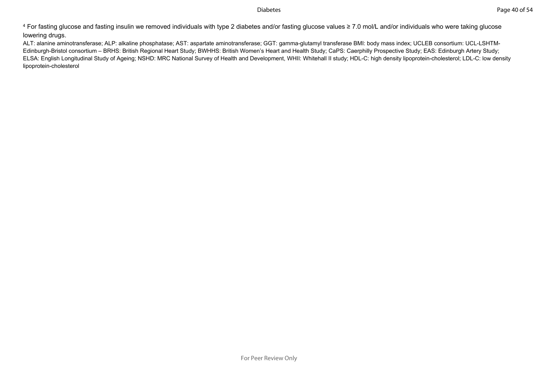4 For fasting glucose and fasting insulin we removed individuals with type 2 diabetes and/or fasting glucose values ≥ 7.0 mol/L and/or individuals who were taking glucose lowering drugs.

ALT: alanine aminotransferase; ALP: alkaline phosphatase; AST: aspartate aminotransferase; GGT: gamma-glutamyl transferase BMI: body mass index; UCLEB consortium: UCL-LSHTM-Edinburgh-Bristol consortium – BRHS: British Regional Heart Study; BWHHS: British Women's Heart and Health Study; CaPS: Caerphilly Prospective Study; EAS: Edinburgh Artery Study; ELSA: English Longitudinal Study of Ageing; NSHD: MRC National Survey of Health and Development, WHII: Whitehall II study; HDL-C: high density lipoprotein-cholesterol; LDL-C: low density lipoprotein-cholesterol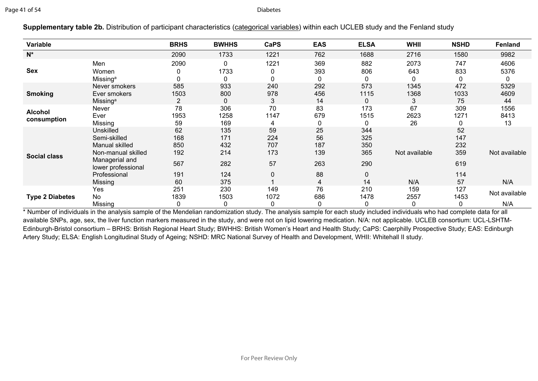| Variable               |                                      | <b>BRHS</b>    | <b>BWHHS</b> | <b>CaPS</b> | <b>EAS</b> | <b>ELSA</b>  | <b>WHII</b>   | <b>NSHD</b> | <b>Fenland</b> |
|------------------------|--------------------------------------|----------------|--------------|-------------|------------|--------------|---------------|-------------|----------------|
| $N^*$                  |                                      | 2090           | 1733         | 1221        | 762        | 1688         | 2716          | 1580        | 9982           |
|                        | Men                                  | 2090           | 0            | 1221        | 369        | 882          | 2073          | 747         | 4606           |
| <b>Sex</b>             | Women                                | 0              | 1733         | 0           | 393        | 806          | 643           | 833         | 5376           |
|                        | Missing <sup>a</sup>                 | $\Omega$       | 0            | $\Omega$    |            | $\mathbf{0}$ | 0             |             |                |
|                        | Never smokers                        | 585            | 933          | 240         | 292        | 573          | 1345          | 472         | 5329           |
| <b>Smoking</b>         | Ever smokers                         | 1503           | 800          | 978         | 456        | 1115         | 1368          | 1033        | 4609           |
|                        | Missing <sup>a</sup>                 | $\overline{2}$ | $\mathbf 0$  | 3           | 14         | $\mathbf 0$  | 3             | 75          | 44             |
|                        | Never                                | 78             | 306          | 70          | 83         | 173          | 67            | 309         | 1556           |
| <b>Alcohol</b>         | Ever                                 | 1953           | 1258         | 1147        | 679        | 1515         | 2623          | 1271        | 8413           |
| consumption            | Missing                              | 59             | 169          | 4           | 0          | 0            | 26            | 0           | 13             |
|                        | Unskilled                            | 62             | 135          | 59          | 25         | 344          |               | 52          |                |
|                        | Semi-skilled                         | 168            | 171          | 224         | 56         | 325          |               | 147         |                |
|                        | Manual skilled                       | 850            | 432          | 707         | 187        | 350          |               | 232         |                |
|                        | Non-manual skilled                   | 192            | 214          | 173         | 139        | 365          | Not available | 359         | Not available  |
| <b>Social class</b>    | Managerial and<br>lower professional | 567            | 282          | 57          | 263        | 290          |               | 619         |                |
|                        | Professional                         | 191            | 124          | $\mathbf 0$ | 88         | $\mathbf 0$  |               | 114         |                |
|                        | Missing                              | 60             | 375          |             | 4          | 14           | N/A           | 57          | N/A            |
|                        | Yes                                  | 251            | 230          | 149         | 76         | 210          | 159           | 127         |                |
| <b>Type 2 Diabetes</b> | <b>No</b>                            | 1839           | 1503         | 1072        | 686        | 1478         | 2557          | 1453        | Not available  |
|                        | Missing                              | 0              | $\mathbf 0$  | 0           | 0          | 0            | 0             | 0           | N/A            |

**Supplementary table 2b.** Distribution of participant characteristics (categorical variables) within each UCLEB study and the Fenland study

\* Number of individuals in the analysis sample of the Mendelian randomization study. The analysis sample for each study included individuals who had complete data for all available SNPs, age, sex, the liver function markers measured in the study, and were not on lipid lowering medication. N/A: not applicable. UCLEB consortium: UCL-LSHTM-Edinburgh-Bristol consortium – BRHS: British Regional Heart Study; BWHHS: British Women's Heart and Health Study; CaPS: Caerphilly Prospective Study; EAS: Edinburgh Artery Study; ELSA: English Longitudinal Study of Ageing; NSHD: MRC National Survey of Health and Development, WHII: Whitehall II study.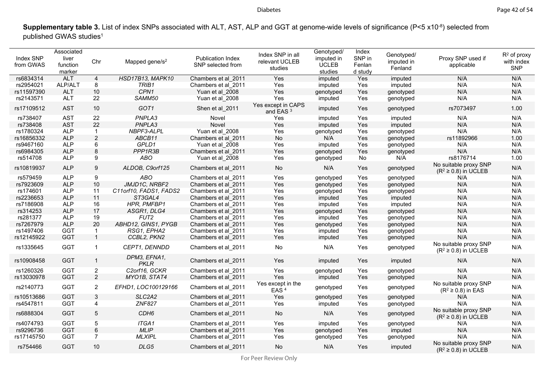**Supplementary table 3.** List of index SNPs associated with ALT, AST, ALP and GGT at genome-wide levels of significance (P<5 x10-8) selected from published GWAS studies<sup>1</sup>

| Index SNP<br>from GWAS | Associated<br>liver<br>function<br>marker | Chr                     | Mapped gene/s <sup>2</sup>  | Publication Index<br>SNP selected from | Index SNP in all<br>relevant UCLEB<br>studies | Genotyped/<br>imputed in<br><b>UCLEB</b><br>studies | Index<br>SNP in<br>Fenlan<br>d study | Genotyped/<br>imputed in<br>Fenland | Proxy SNP used if<br>applicable                  | $R^2$ of proxy<br>with index<br><b>SNP</b> |
|------------------------|-------------------------------------------|-------------------------|-----------------------------|----------------------------------------|-----------------------------------------------|-----------------------------------------------------|--------------------------------------|-------------------------------------|--------------------------------------------------|--------------------------------------------|
| rs6834314              | <b>ALT</b>                                | $\overline{\mathbf{4}}$ | HSD17B13, MAPK10            | Chambers et al 2011                    | Yes                                           | imputed                                             | Yes                                  | imputed                             | N/A                                              | N/A                                        |
| rs2954021              | ALP/ALT                                   | 8                       | TRIB1                       | Chambers et al 2011                    | Yes                                           | imputed                                             | Yes                                  | imputed                             | N/A                                              | N/A                                        |
| rs11597390             | <b>ALT</b>                                | 10                      | CPN1                        | Yuan et al 2008                        | Yes                                           | genotyped                                           | Yes                                  | genotyped                           | N/A                                              | N/A                                        |
| rs2143571              | <b>ALT</b>                                | 22                      | SAMM50                      | Yuan et al 2008                        | Yes                                           | imputed                                             | Yes                                  | genotyped                           | N/A                                              | N/A                                        |
| rs17109512             | <b>AST</b>                                | 10                      | GOT1                        | Shen et al 2011                        | Yes except in CAPS<br>and EAS <sup>3</sup>    | imputed                                             | Yes                                  | genotyped                           | rs7073497                                        | 1.00                                       |
| rs738407               | <b>AST</b>                                | 22                      | PNPLA3                      | Novel                                  | Yes                                           | imputed                                             | Yes                                  | imputed                             | N/A                                              | N/A                                        |
| rs738408               | <b>AST</b>                                | 22                      | PNPLA3                      | Novel                                  | Yes                                           | imputed                                             | Yes                                  | imputed                             | N/A                                              | N/A                                        |
| rs1780324              | <b>ALP</b>                                | $\mathbf{1}$            | NBPF3-ALPL                  | Yuan et al 2008                        | Yes                                           | genotyped                                           | Yes                                  | genotyped                           | N/A                                              | N/A                                        |
| rs16856332             | <b>ALP</b>                                | $\overline{c}$          | ABCB11                      | Chambers et al 2011                    | No                                            | N/A                                                 | Yes                                  | genotyped                           | rs11892966                                       | 1.00                                       |
| rs9467160              | <b>ALP</b>                                | 6                       | GPLD1                       | Yuan et al 2008                        | Yes                                           | imputed                                             | Yes                                  | genotyped                           | N/A                                              | N/A                                        |
| rs6984305              | <b>ALP</b>                                | 8                       | PPP1R3B                     | Chambers et al 2011                    | Yes                                           | genotyped                                           | Yes                                  | genotyped                           | N/A                                              | N/A                                        |
| rs514708               | <b>ALP</b>                                | 9                       | <b>ABO</b>                  | Yuan et al_2008                        | Yes                                           | genotyped                                           | No.                                  | N/A                                 | rs8176714                                        | 1.00                                       |
| rs10819937             | <b>ALP</b>                                | 9                       | ALDOB, C9orf125             | Chambers et al 2011                    | No                                            | N/A                                                 | Yes                                  | genotyped                           | No suitable proxy SNP<br>$(R2 \ge 0.8)$ in UCLEB | N/A                                        |
| rs579459               | <b>ALP</b>                                | 9                       | <b>ABO</b>                  | Chambers et al 2011                    | Yes                                           | genotyped                                           | Yes                                  | genotyped                           | N/A                                              | N/A                                        |
| rs7923609              | <b>ALP</b>                                | 10                      | JMJD1C, NRBF2               | Chambers et al 2011                    | Yes                                           | genotyped                                           | Yes                                  | genotyped                           | N/A                                              | N/A                                        |
| rs174601               | <b>ALP</b>                                | 11                      | C11orf10, FADS1, FADS2      | Chambers et al 2011                    | Yes                                           | genotyped                                           | Yes                                  | genotyped                           | N/A                                              | N/A                                        |
| rs2236653              | <b>ALP</b>                                | 11                      | ST3GAL4                     | Chambers et al_2011                    | Yes                                           | imputed                                             | Yes                                  | imputed                             | N/A                                              | N/A                                        |
| rs7186908              | <b>ALP</b>                                | 16                      | HPR, PMFBP1                 | Chambers et al 2011                    | Yes                                           | imputed                                             | Yes                                  | imputed                             | N/A                                              | N/A                                        |
| rs314253               | <b>ALP</b>                                | 17                      | ASGR1, DLG4                 | Chambers et al 2011                    | Yes                                           | genotyped                                           | Yes                                  | genotyped                           | N/A                                              | N/A                                        |
| rs281377               | <b>ALP</b>                                | 19                      | FUT <sub>2</sub>            | Chambers et al 2011                    | Yes                                           | imputed                                             | Yes                                  | genotyped                           | N/A                                              | N/A                                        |
| rs7267979              | <b>ALP</b>                                | 20                      | ABHD12, GINS1, PYGB         | Chambers et al 2011                    | Yes                                           | genotyped                                           | Yes                                  | genotyped                           | N/A                                              | N/A                                        |
| rs1497406              | <b>GGT</b>                                | $\mathbf{1}$            | RSG1, EPHA2                 | Chambers et al 2011                    | Yes                                           |                                                     | Yes                                  |                                     | N/A                                              | N/A                                        |
| rs12145922             | <b>GGT</b>                                | $\mathbf{1}$            | CCBL2, PKN2                 | Chambers et al_2011                    | Yes                                           | imputed<br>imputed                                  | Yes                                  | genotyped                           | N/A                                              | N/A                                        |
| rs1335645              | <b>GGT</b>                                | $\mathbf{1}$            | CEPT1, DENNDD               | Chambers et al_2011                    | No                                            | N/A                                                 | Yes                                  | genotyped<br>genotyped              | No suitable proxy SNP<br>$(R2 \ge 0.8)$ in UCLEB | N/A                                        |
| rs10908458             | <b>GGT</b>                                | $\mathbf{1}$            | DPM3, EFNA1,<br><b>PKLR</b> | Chambers et al_2011                    | Yes                                           | imputed                                             | Yes                                  | imputed                             | N/A                                              | N/A                                        |
| rs1260326              | <b>GGT</b>                                | $\overline{c}$          | C2orf16, GCKR               | Chambers et al 2011                    | Yes                                           | genotyped                                           | Yes                                  | genotyped                           | N/A                                              | N/A                                        |
| rs13030978             | <b>GGT</b>                                | $\overline{2}$          | MYO1B, STAT4                | Chambers et al_2011                    | Yes                                           | imputed                                             | Yes                                  | genotyped                           | N/A                                              | N/A                                        |
| rs2140773              | <b>GGT</b>                                | $\overline{2}$          | EFHD1, LOC100129166         | Chambers et al 2011                    | Yes except in the<br>EAS <sup>4</sup>         | genotyped                                           | Yes                                  | genotyped                           | No suitable proxy SNP<br>$(R2 \ge 0.8)$ in EAS   | N/A                                        |
| rs10513686             | <b>GGT</b>                                | 3                       | SLC2A2                      | Chambers et al 2011                    | Yes                                           | genotyped                                           | Yes                                  | genotyped                           | N/A                                              | N/A                                        |
| rs4547811              | <b>GGT</b>                                | 4                       | <b>ZNF827</b>               | Chambers et al 2011                    | Yes                                           | imputed                                             | Yes                                  | genotyped                           | N/A                                              | N/A                                        |
| rs6888304              | <b>GGT</b>                                | 5                       | CDH <sub>6</sub>            | Chambers et al 2011                    | No                                            | N/A                                                 | Yes                                  | genotyped                           | No suitable proxy SNP<br>$(R2 \ge 0.8)$ in UCLEB | N/A                                        |
| rs4074793              | <b>GGT</b>                                | 5                       | ITGA1                       | Chambers et al 2011                    | Yes                                           | imputed                                             | Yes                                  | genotyped                           | N/A                                              | N/A                                        |
| rs9296736              | <b>GGT</b>                                | 6                       | <b>MLIP</b>                 | Chambers et al 2011                    | Yes                                           | genotyped                                           | Yes                                  | imputed                             | N/A                                              | N/A                                        |
| rs17145750             | <b>GGT</b>                                | $\overline{7}$          | <b>MLXIPL</b>               | Chambers et al_2011                    | Yes                                           | genotyped                                           | Yes                                  | genotyped                           | N/A                                              | N/A                                        |
| rs754466               | <b>GGT</b>                                | 10                      | DLG5                        | Chambers et al_2011                    | No                                            | N/A                                                 | Yes                                  | imputed                             | No suitable proxy SNP<br>$(R2 \ge 0.8)$ in UCLEB | N/A                                        |

For Peer Review Only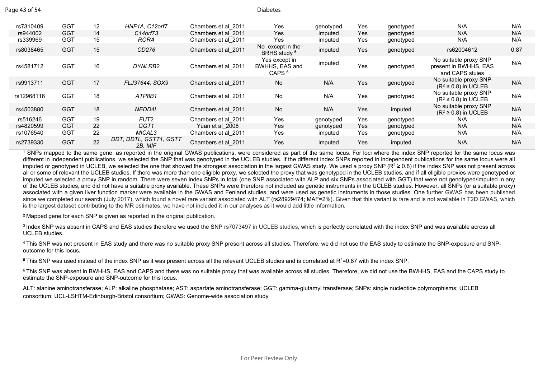| rs7310409  | GGT        | 12 | HNF1A, C12orf7                    | Chambers et al 2011 | Yes                                         | genotyped | Yes | genotyped | N/A                                                               | N/A  |
|------------|------------|----|-----------------------------------|---------------------|---------------------------------------------|-----------|-----|-----------|-------------------------------------------------------------------|------|
| rs944002   | <b>GGT</b> | 14 | C14orf73                          | Chambers et al 2011 | Yes                                         | imputed   | Yes | genotyped | N/A                                                               | N/A  |
| rs339969   | <b>GGT</b> | 15 | <b>RORA</b>                       | Chambers et al 2011 | Yes                                         | imputed   | Yes | genotyped | N/A                                                               | N/A  |
| rs8038465  | <b>GGT</b> | 15 | CD276                             | Chambers et al 2011 | No except in the<br>BRHS study <sup>5</sup> | imputed   | Yes | genotyped | rs62004612                                                        | 0.87 |
| rs4581712  | <b>GGT</b> | 16 | DYNLRB2                           | Chambers et al 2011 | Yes except in<br>BWHHS, EAS and<br>CAPS $6$ | imputed   | Yes | genotyped | No suitable proxy SNP<br>present in BWHHS, EAS<br>and CAPS stuies | N/A  |
| rs9913711  | <b>GGT</b> | 17 | FLJ37644, SOX9                    | Chambers et al 2011 | No                                          | N/A       | Yes | genotyped | No suitable proxy SNP<br>$(R2 \ge 0.8)$ in UCLEB                  | N/A  |
| rs12968116 | <b>GGT</b> | 18 | ATP8B1                            | Chambers et al 2011 | No                                          | N/A       | Yes | genotyped | No suitable proxy SNP<br>$(R^2 \ge 0.8)$ in UCLEB                 | N/A  |
| rs4503880  | <b>GGT</b> | 18 | NEDD4L                            | Chambers et al 2011 | No                                          | N/A       | Yes | imputed   | No suitable proxy SNP<br>$(R2 \ge 0.8)$ in UCLEB                  | N/A  |
| rs516246   | <b>GGT</b> | 19 | FUT <sub>2</sub>                  | Chambers et al 2011 | Yes                                         | genotyped | Yes | genotyped | N/A                                                               | N/A  |
| rs4820599  | <b>GGT</b> | 22 | GGT1                              | Yuan et al 2008     | Yes                                         | genotyped | Yes | genotyped | N/A                                                               | N/A  |
| rs1076540  | <b>GGT</b> | 22 | MICAL3                            | Chambers et al 2011 | Yes                                         | imputed   | Yes | genotyped | N/A                                                               | N/A  |
| rs2739330  | <b>GGT</b> | 22 | DDT, DDTL, GSTT1, GSTT<br>2B, MIF | Chambers et al 2011 | Yes                                         | imputed   | Yes | imputed   | N/A                                                               | N/A  |

<sup>1</sup> SNPs mapped to the same gene, as reported in the original GWAS publications, were considered as part of the same locus. For loci where the index SNP reported for the same locus was different in independent publications, we selected the SNP that was genotyped in the UCLEB studies. If the different index SNPs reported in independent publications for the same locus were all imputed or genotyped in UCLEB, we selected the one that showed the strongest association in the largest GWAS study. We used a proxy SNP ( $R^2 \ge 0.8$ ) if the index SNP was not present across all or some of relevant the UCLEB studies. If there was more than one eligible proxy, we selected the proxy that was genotyped in the UCLEB studies, and if all eligible proxies were genotyped or imputed we selected a proxy SNP in random. There were seven index SNPs in total (one SNP associated with ALP and six SNPs associated with GGT) that were not genotyped/imputed in any of the UCLEB studies, and did not have a suitable proxy available. These SNPs were therefore not included as genetic instruments in the UCLEB studies. However, all SNPs (or a suitable proxy) associated with a given liver function marker were available in the GWAS and Fenland studies, and were used as genetic instruments in those studies. One further GWAS has been published since we completed our search (July 2017), which found a novel rare variant associated with ALT (rs28929474; MAF=2%). Given that this variant is rare and is not available in T2D GWAS, which is the largest dataset contributing to the MR estimates, we have not included it in our analyses as it would add little information.

**<sup>2</sup>**Mapped gene for each SNP is given as reported in the original publication.

<sup>3</sup> Index SNP was absent in CAPS and EAS studies therefore we used the SNP rs7073497 in UCLEB studies, which is perfectly correlated with the index SNP and was available across all UCLEB studies.

4 This SNP was not present in EAS study and there was no suitable proxy SNP present across all studies. Therefore, we did not use the EAS study to estimate the SNP-exposure and SNPoutcome for this locus**.**

**<sup>5</sup>** This SNP was used instead of the index SNP as it was present across all the relevant UCLEB studies and is correlated at R<sup>2</sup>=0.87 with the index SNP.

<sup>6</sup> This SNP was absent in BWHHS, EAS and CAPS and there was no suitable proxy that was available across all studies. Therefore, we did not use the BWHHS, EAS and the CAPS study to estimate the SNP-exposure and SNP-outcome for this locus.

ALT: alanine aminotransferase; ALP: alkaline phosphatase; AST: aspartate aminotransferase; GGT: gamma-glutamyl transferase; SNPs: single nucleotide polymorphisms; UCLEB consortium: UCL-LSHTM-Edinburgh-Bristol consortium; GWAS: Genome-wide association study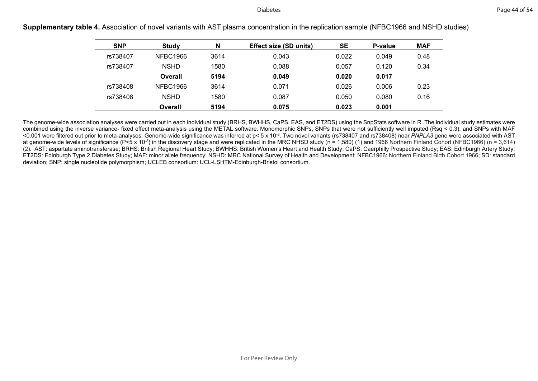| <b>SNP</b> | Study           | N    | <b>Effect size (SD units)</b> | <b>SE</b> | P-value | <b>MAF</b> |
|------------|-----------------|------|-------------------------------|-----------|---------|------------|
| rs738407   | <b>NFBC1966</b> | 3614 | 0.043                         | 0.022     | 0.049   | 0.48       |
| rs738407   | <b>NSHD</b>     | 1580 | 0.088                         | 0.057     | 0.120   | 0.34       |
|            | Overall         | 5194 | 0.049                         | 0.020     | 0.017   |            |
| rs738408   | <b>NFBC1966</b> | 3614 | 0.071                         | 0.026     | 0.006   | 0.23       |
| rs738408   | <b>NSHD</b>     | 1580 | 0.087                         | 0.050     | 0.080   | 0.16       |
|            | Overall         | 5194 | 0.075                         | 0.023     | 0.001   |            |

**Supplementary table 4.** Association of novel variants with AST plasma concentration in the replication sample (NFBC1966 and NSHD studies)

The genome-wide association analyses were carried out in each individual study (BRHS, BWHHS, CaPS, EAS, and ET2DS) using the SnpStats software in R. The individual study estimates were combined using the inverse variance- fixed effect meta-analysis using the METAL software. Monomorphic SNPs, SNPs that were not sufficiently well imputed (Rsq < 0.3), and SNPs with MAF <0.001 were filtered out prior to meta-analyses. Genome-wide significance was inferred at p< 5 x 10-8. Two novel variants (rs738407 and rs738408) near *PNPLA3* gene were associated with AST at genome-wide levels of significance (P<5 x 10<sup>-8</sup>) in the discovery stage and were replicated in the MRC NHSD study (n = 1,580) (1) and 1966 Northern Finland Cohort (NFBC1966) (n = 3,614) (2). AST: aspartate aminotransferase; BRHS: British Regional Heart Study; BWHHS: British Women's Heart and Health Study; CaPS: Caerphilly Prospective Study; EAS: Edinburgh Artery Study; ET2DS: Edinburgh Type 2 Diabetes Study; MAF: minor allele frequency; NSHD: MRC National Survey of Health and Development; NFBC1966: Northern Finland Birth Cohort 1966; SD: standard deviation; SNP: single nucleotide polymorphism; UCLEB consortium: UCL-LSHTM-Edinburgh-Bristol consortium.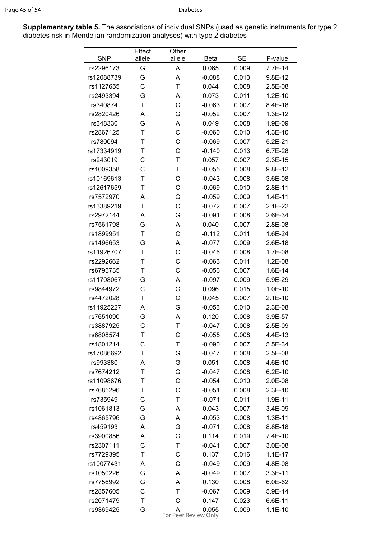| <b>Supplementary table 5.</b> The associations of individual SNPs (used as genetic instruments for type 2 |  |
|-----------------------------------------------------------------------------------------------------------|--|
| diabetes risk in Mendelian randomization analyses) with type 2 diabetes                                   |  |

|            | Effect | Other                |             |           |           |
|------------|--------|----------------------|-------------|-----------|-----------|
| <b>SNP</b> | allele | allele               | <b>Beta</b> | <b>SE</b> | P-value   |
| rs2296173  | G      | Α                    | 0.065       | 0.009     | 7.7E-14   |
| rs12088739 | G      | Α                    | $-0.088$    | 0.013     | 9.8E-12   |
| rs1127655  | C      | T                    | 0.044       | 0.008     | 2.5E-08   |
| rs2493394  | G      | Α                    | 0.073       | 0.011     | $1.2E-10$ |
| rs340874   | T      | C                    | $-0.063$    | 0.007     | 8.4E-18   |
| rs2820426  | A      | G                    | $-0.052$    | 0.007     | $1.3E-12$ |
| rs348330   | G      | A                    | 0.049       | 0.008     | 1.9E-09   |
| rs2867125  | T      | C                    | $-0.060$    | 0.010     | 4.3E-10   |
| rs780094   | T      | C                    | $-0.069$    | 0.007     | 5.2E-21   |
| rs17334919 | T      | C                    | $-0.140$    | 0.013     | 6.7E-28   |
| rs243019   | С      | T                    | 0.057       | 0.007     | $2.3E-15$ |
| rs1009358  | C      | T                    | $-0.055$    | 0.008     | 9.8E-12   |
| rs10169613 | T      | C                    | $-0.043$    | 0.008     | 3.6E-08   |
| rs12617659 | т      | C                    | $-0.069$    | 0.010     | 2.8E-11   |
| rs7572970  | Α      | G                    | $-0.059$    | 0.009     | $1.4E-11$ |
| rs13389219 | T      | C                    | $-0.072$    | 0.007     | $2.1E-22$ |
| rs2972144  | A      | G                    | $-0.091$    | 0.008     | 2.6E-34   |
| rs7561798  | G      | Α                    | 0.040       | 0.007     | 2.8E-08   |
| rs1899951  | T      | C                    | $-0.112$    | 0.011     | 1.6E-24   |
| rs1496653  | G      | A                    | $-0.077$    | 0.009     | 2.6E-18   |
| rs11926707 | T      | C                    | $-0.046$    | 0.008     | 1.7E-08   |
| rs2292662  | Τ      | C                    | $-0.063$    | 0.011     | 1.2E-08   |
| rs6795735  | Τ      | C                    | $-0.056$    | 0.007     | 1.6E-14   |
| rs11708067 | G      | Α                    | $-0.097$    | 0.009     | 5.9E-29   |
| rs9844972  | C      | G                    | 0.096       | 0.015     | 1.0E-10   |
| rs4472028  | T      | C                    | 0.045       | 0.007     | $2.1E-10$ |
| rs11925227 | A      | G                    | $-0.053$    | 0.010     | 2.3E-08   |
| rs7651090  | G      | Α                    | 0.120       | 0.008     | 3.9E-57   |
| rs3887925  | C      | T                    | $-0.047$    | 0.008     | 2.5E-09   |
| rs6808574  | Τ      | C                    | $-0.055$    | 0.008     | 4.4E-13   |
| rs1801214  | С      | Τ                    | $-0.090$    | 0.007     | 5.5E-34   |
| rs17086692 | T      | G                    | $-0.047$    | 0.008     | 2.5E-08   |
| rs993380   | Α      | G                    | 0.051       | 0.008     | 4.6E-10   |
| rs7674212  | T      | G                    | $-0.047$    | 0.008     | $6.2E-10$ |
| rs11098676 | T      | C                    | $-0.054$    | 0.010     | 2.0E-08   |
| rs7685296  | Τ      | C                    | $-0.051$    | 0.008     | 2.3E-10   |
| rs735949   | C      | T                    | $-0.071$    | 0.011     | 1.9E-11   |
| rs1061813  | G      | A                    | 0.043       | 0.007     | 3.4E-09   |
| rs4865796  | G      | Α                    | $-0.053$    | 0.008     | $1.3E-11$ |
| rs459193   | A      | G                    | $-0.071$    | 0.008     | 8.8E-18   |
| rs3900856  | Α      | G                    | 0.114       | 0.019     | 7.4E-10   |
| rs2307111  | C      | T                    | $-0.041$    | 0.007     | 3.0E-08   |
| rs7729395  | T      | C                    | 0.137       | 0.016     | $1.1E-17$ |
| rs10077431 | Α      | C                    | $-0.049$    | 0.009     | 4.8E-08   |
| rs1050226  | G      | A                    | $-0.049$    | 0.007     | 3.3E-11   |
| rs7756992  | G      | A                    | 0.130       | 0.008     | 6.0E-62   |
| rs2857605  | C      | T                    | $-0.067$    | 0.009     | 5.9E-14   |
| rs2071479  | T      | C                    | 0.147       | 0.023     | 6.6E-11   |
| rs9369425  | G      | A                    | 0.055       | 0.009     | $1.1E-10$ |
|            |        | For Peer Review Only |             |           |           |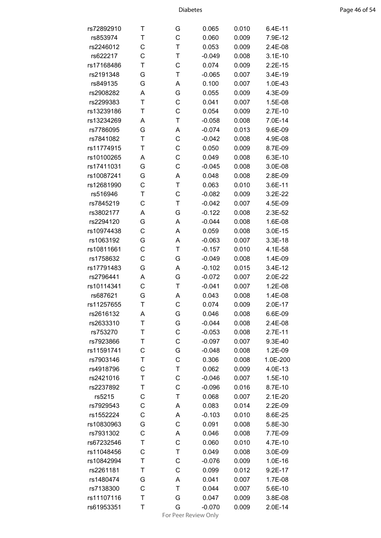| Page 46 of 54 |  |  |
|---------------|--|--|
|---------------|--|--|

| rs72892910 | Τ | G      | 0.065                | 0.010          | 6.4E-11            |
|------------|---|--------|----------------------|----------------|--------------------|
| rs853974   | Τ | C      | 0.060                | 0.009          | 7.9E-12            |
| rs2246012  | C | T      | 0.053                | 0.009          | 2.4E-08            |
| rs622217   | C | T      | $-0.049$             | 0.008          | $3.1E-10$          |
| rs17168486 | T | C      | 0.074                | 0.009          | $2.2E-15$          |
| rs2191348  | G | T      | $-0.065$             | 0.007          | 3.4E-19            |
| rs849135   | G | Α      | 0.100                | 0.007          | 1.0E-43            |
| rs2908282  | Α | G      | 0.055                | 0.009          | 4.3E-09            |
| rs2299383  | T | C      | 0.041                | 0.007          | 1.5E-08            |
| rs13239186 | Τ | C      | 0.054                | 0.009          | $2.7E-10$          |
| rs13234269 | A | T      | $-0.058$             | 0.008          | 7.0E-14            |
| rs7786095  | G | Α      | $-0.074$             | 0.013          | 9.6E-09            |
| rs7841082  | T | C      | $-0.042$             | 0.008          | 4.9E-08            |
| rs11774915 | T | C      | 0.050                | 0.009          | 8.7E-09            |
| rs10100265 | A | C      | 0.049                | 0.008          | 6.3E-10            |
| rs17411031 | G | C      | $-0.045$             | 0.008          | 3.0E-08            |
| rs10087241 | G | A      | 0.048                | 0.008          | 2.8E-09            |
| rs12681990 | C | T      | 0.063                | 0.010          | 3.6E-11            |
| rs516946   | T | C      | $-0.082$             | 0.009          | 3.2E-22            |
| rs7845219  | C | T      | $-0.042$             | 0.007          | 4.5E-09            |
| rs3802177  | A | G      | $-0.122$             | 0.008          | 2.3E-52            |
| rs2294120  | G | A      | $-0.044$             | 0.008          | 1.6E-08            |
| rs10974438 | C | Α      | 0.059                | 0.008          | 3.0E-15            |
| rs1063192  | G | Α      | $-0.063$             | 0.007          | 3.3E-18            |
| rs10811661 | C | Τ      | $-0.157$             | 0.010          | 4.1E-58            |
| rs1758632  | C | G      | $-0.049$             | 0.008          | 1.4E-09            |
| rs17791483 | G | A      | $-0.102$             | 0.015          | 3.4E-12            |
| rs2796441  | Α | G      | $-0.072$             | 0.007          | 2.0E-22            |
| rs10114341 | C | T      | $-0.041$             | 0.007          | 1.2E-08            |
| rs687621   | G | A      | 0.043                | 0.008          | 1.4E-08            |
| rs11257655 | T | C      | 0.074                | 0.009          | 2.0E-17            |
| rs2616132  | A |        | 0.046                | 0.008          | 6.6E-09            |
| rs2633310  | T | G<br>G | $-0.044$             | 0.008          | 2.4E-08            |
| rs753270   | Τ | C      |                      | 0.008          | 2.7E-11            |
| rs7923866  | Τ | С      | $-0.053$             |                |                    |
| rs11591741 | С | G      | $-0.097$<br>$-0.048$ | 0.007<br>0.008 | 9.3E-40<br>1.2E-09 |
|            | T | C      |                      | 0.008          | 1.0E-200           |
| rs7903146  |   |        | 0.306                |                | 4.0E-13            |
| rs4918796  | C | T      | 0.062                | 0.009          |                    |
| rs2421016  | T | С      | $-0.046$             | 0.007          | 1.5E-10            |
| rs2237892  | Τ | С      | $-0.096$             | 0.016          | 8.7E-10            |
| rs5215     | С | T      | 0.068                | 0.007          | 2.1E-20            |
| rs7929543  | С | Α      | 0.083                | 0.014          | 2.2E-09            |
| rs1552224  | С | А      | $-0.103$             | 0.010          | 8.6E-25            |
| rs10830963 | G | C      | 0.091                | 0.008          | 5.8E-30            |
| rs7931302  | С | Α      | 0.046                | 0.008          | 7.7E-09            |
| rs67232546 | Τ | C      | 0.060                | 0.010          | 4.7E-10            |
| rs11048456 | С | T      | 0.049                | 0.008          | 3.0E-09            |
| rs10842994 | T | С      | $-0.076$             | 0.009          | 1.0E-16            |
| rs2261181  | Τ | С      | 0.099                | 0.012          | $9.2E-17$          |
| rs1480474  | G | А      | 0.041                | 0.007          | 1.7E-08            |
| rs7138300  | C | T      | 0.044                | 0.007          | 5.6E-10            |
| rs11107116 | T | G      | 0.047                | 0.009          | 3.8E-08            |
| rs61953351 | T | G      | $-0.070$             | 0.009          | 2.0E-14            |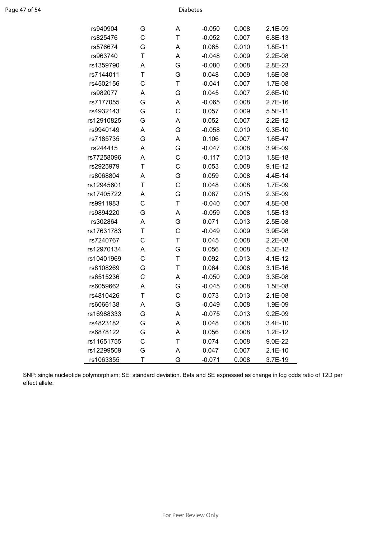| rs940904   | G | A | $-0.050$ | 0.008 | 2.1E-09   |
|------------|---|---|----------|-------|-----------|
| rs825476   | C | T | $-0.052$ | 0.007 | 6.8E-13   |
| rs576674   | G | A | 0.065    | 0.010 | $1.8E-11$ |
| rs963740   | T | Α | $-0.048$ | 0.009 | 2.2E-08   |
| rs1359790  | A | G | $-0.080$ | 0.008 | 2.8E-23   |
| rs7144011  | T | G | 0.048    | 0.009 | 1.6E-08   |
| rs4502156  | C | T | $-0.041$ | 0.007 | 1.7E-08   |
| rs982077   | Α | G | 0.045    | 0.007 | 2.6E-10   |
| rs7177055  | G | Α | $-0.065$ | 0.008 | 2.7E-16   |
| rs4932143  | G | C | 0.057    | 0.009 | 5.5E-11   |
| rs12910825 | G | Α | 0.052    | 0.007 | $2.2E-12$ |
| rs9940149  | Α | G | $-0.058$ | 0.010 | 9.3E-10   |
| rs7185735  | G | Α | 0.106    | 0.007 | 1.6E-47   |
| rs244415   | Α | G | $-0.047$ | 0.008 | 3.9E-09   |
| rs77258096 | Α | C | $-0.117$ | 0.013 | 1.8E-18   |
| rs2925979  | Τ | C | 0.053    | 0.008 | $9.1E-12$ |
| rs8068804  | Α | G | 0.059    | 0.008 | 4.4E-14   |
| rs12945601 | Τ | C | 0.048    | 0.008 | 1.7E-09   |
| rs17405722 | Α | G | 0.087    | 0.015 | 2.3E-09   |
| rs9911983  | С | T | $-0.040$ | 0.007 | 4.8E-08   |
| rs9894220  | G | A | $-0.059$ | 0.008 | $1.5E-13$ |
| rs302864   | A | G | 0.071    | 0.013 | $2.5E-08$ |
| rs17631783 | Τ | C | $-0.049$ | 0.009 | 3.9E-08   |
| rs7240767  | C | T | 0.045    | 0.008 | 2.2E-08   |
| rs12970134 | A | G | 0.056    | 0.008 | 5.3E-12   |
| rs10401969 | С | T | 0.092    | 0.013 | 4.1E-12   |
| rs8108269  | G | T | 0.064    | 0.008 | $3.1E-16$ |
| rs6515236  | C | A | $-0.050$ | 0.009 | 3.3E-08   |
| rs6059662  | Α | G | $-0.045$ | 0.008 | 1.5E-08   |
| rs4810426  | T | C | 0.073    | 0.013 | 2.1E-08   |
| rs6066138  | Α | G | $-0.049$ | 0.008 | 1.9E-09   |
| rs16988333 | G | A | $-0.075$ | 0.013 | 9.2E-09   |
| rs4823182  | G | Α | 0.048    | 0.008 | $3.4E-10$ |
| rs6878122  | G | Α | 0.056    | 0.008 | $1.2E-12$ |
| rs11651755 | C | T | 0.074    | 0.008 | 9.0E-22   |
| rs12299509 | G | A | 0.047    | 0.007 | $2.1E-10$ |
| rs1063355  | T | G | $-0.071$ | 0.008 | 3.7E-19   |

SNP: single nucleotide polymorphism; SE: standard deviation. Beta and SE expressed as change in log odds ratio of T2D per effect allele.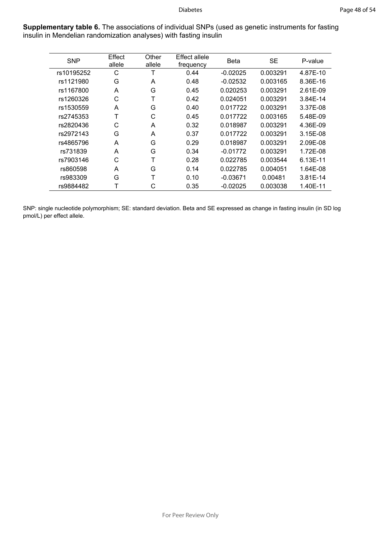**Supplementary table 6.** The associations of individual SNPs (used as genetic instruments for fasting insulin in Mendelian randomization analyses) with fasting insulin

| <b>SNP</b> | Effect<br>allele | Other<br>allele | <b>Effect allele</b><br>frequency | <b>Beta</b> | <b>SE</b> | P-value  |
|------------|------------------|-----------------|-----------------------------------|-------------|-----------|----------|
| rs10195252 | С                |                 | 0.44                              | $-0.02025$  | 0.003291  | 4.87E-10 |
| rs1121980  | G                | A               | 0.48                              | $-0.02532$  | 0.003165  | 8.36E-16 |
| rs1167800  | A                | G               | 0.45                              | 0.020253    | 0.003291  | 2.61E-09 |
| rs1260326  | C                | Т               | 0.42                              | 0.024051    | 0.003291  | 3.84E-14 |
| rs1530559  | A                | G               | 0.40                              | 0.017722    | 0.003291  | 3.37E-08 |
| rs2745353  | Τ                | С               | 0.45                              | 0.017722    | 0.003165  | 5.48E-09 |
| rs2820436  | C                | A               | 0.32                              | 0.018987    | 0.003291  | 4.36E-09 |
| rs2972143  | G                | A               | 0.37                              | 0.017722    | 0.003291  | 3.15E-08 |
| rs4865796  | A                | G               | 0.29                              | 0.018987    | 0.003291  | 2.09E-08 |
| rs731839   | A                | G               | 0.34                              | $-0.01772$  | 0.003291  | 1.72E-08 |
| rs7903146  | С                | Т               | 0.28                              | 0.022785    | 0.003544  | 6.13E-11 |
| rs860598   | A                | G               | 0.14                              | 0.022785    | 0.004051  | 1.64E-08 |
| rs983309   | G                | Т               | 0.10                              | $-0.03671$  | 0.00481   | 3.81E-14 |
| rs9884482  | Т                | С               | 0.35                              | $-0.02025$  | 0.003038  | 1.40E-11 |
|            |                  |                 |                                   |             |           |          |

SNP: single nucleotide polymorphism; SE: standard deviation. Beta and SE expressed as change in fasting insulin (in SD log pmol/L) per effect allele.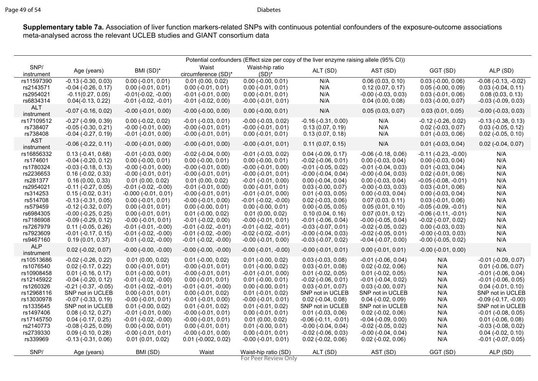**Supplementary table 7a.** Association of liver function markers-related SNPs with continuous potential confounders of the exposure-outcome associations meta-analysed across the relevant UCLEB studies and GIANT consortium data

|                                                                                                                                                                                | Potential confounders (Effect size per copy of the liver enzyme raising allele (95% CI))                                                                                                                                                                                                                                                                    |                                                                                                                                                                                                                                                                                                                                                                          |                                                                                                                                                                                                                                                                                                                                                                           |                                                                                                                                                                                                                                                                                                                                                                           |                                                                                                                                                                                                                                                                                                                                                                        |                                                                                                                                                                                                                                                                                                                                                         |                                                                                                                                                                                                                                                                                                                                                                            |                                                                                                                                                                                                                                                                                                                                    |
|--------------------------------------------------------------------------------------------------------------------------------------------------------------------------------|-------------------------------------------------------------------------------------------------------------------------------------------------------------------------------------------------------------------------------------------------------------------------------------------------------------------------------------------------------------|--------------------------------------------------------------------------------------------------------------------------------------------------------------------------------------------------------------------------------------------------------------------------------------------------------------------------------------------------------------------------|---------------------------------------------------------------------------------------------------------------------------------------------------------------------------------------------------------------------------------------------------------------------------------------------------------------------------------------------------------------------------|---------------------------------------------------------------------------------------------------------------------------------------------------------------------------------------------------------------------------------------------------------------------------------------------------------------------------------------------------------------------------|------------------------------------------------------------------------------------------------------------------------------------------------------------------------------------------------------------------------------------------------------------------------------------------------------------------------------------------------------------------------|---------------------------------------------------------------------------------------------------------------------------------------------------------------------------------------------------------------------------------------------------------------------------------------------------------------------------------------------------------|----------------------------------------------------------------------------------------------------------------------------------------------------------------------------------------------------------------------------------------------------------------------------------------------------------------------------------------------------------------------------|------------------------------------------------------------------------------------------------------------------------------------------------------------------------------------------------------------------------------------------------------------------------------------------------------------------------------------|
| SNP/<br>instrument                                                                                                                                                             | Age (years)                                                                                                                                                                                                                                                                                                                                                 | BMI (SD)*                                                                                                                                                                                                                                                                                                                                                                | Waist<br>circumference (SD)*                                                                                                                                                                                                                                                                                                                                              | Waist-hip ratio<br>$(SD)^*$                                                                                                                                                                                                                                                                                                                                               | ALT (SD)                                                                                                                                                                                                                                                                                                                                                               | AST (SD)                                                                                                                                                                                                                                                                                                                                                | GGT (SD)                                                                                                                                                                                                                                                                                                                                                                   | ALP (SD)                                                                                                                                                                                                                                                                                                                           |
| rs11597390<br>rs2143571<br>rs2954021<br>rs6834314                                                                                                                              | $-0.13(-0.30, 0.03)$<br>$-0.04$ $(-0.26, 0.17)$<br>$-0.11(0.27, 0.05)$<br>$0.04(-0.13, 0.22)$                                                                                                                                                                                                                                                               | $0.00 (-0.01, 0.01)$<br>$0.00$ (-0.01, 0.01)<br>$-0.01(-0.02, -0.00)$<br>$-0.01$ $(-0.02, -0.01)$                                                                                                                                                                                                                                                                        | 0.01(0.00, 0.02)<br>$0.00$ (-0.01, 0.01)<br>$-0.01$ $(-0.01, 0.00)$<br>$-0.01$ $(-0.02, 0.00)$                                                                                                                                                                                                                                                                            | $0.00 (-0.00, 0.01)$<br>$0.00$ (-0.01, 0.01)<br>$0.00$ (-0.01, 0.01)<br>$-0.00$ $(-0.01, 0.01)$                                                                                                                                                                                                                                                                           | N/A<br>N/A<br>N/A<br>N/A                                                                                                                                                                                                                                                                                                                                               | 0.06(0.03, 0.10)<br>0.12(0.07, 0.17)<br>$-0.00$ $(-0.03, 0.03)$<br>0.04(0.00, 0.08)                                                                                                                                                                                                                                                                     | $0.03 (-0.00, 0.06)$<br>$0.05$ (-0.00, 0.09)<br>$0.03$ (-0.01, 0.06)<br>$0.03$ (-0.00, 0.07)                                                                                                                                                                                                                                                                               | $-0.08(-0.13,-0.02)$<br>$0.03$ (-0.04, 0.11)<br>0.08(0.03, 0.13)<br>$-0.03$ $(-0.09, 0.03)$                                                                                                                                                                                                                                        |
| <b>ALT</b><br>instrument                                                                                                                                                       | $-0.07$ $(-0.16, 0.02)$                                                                                                                                                                                                                                                                                                                                     | $-0.00$ $(-0.01, 0.00)$                                                                                                                                                                                                                                                                                                                                                  | $-0.00$ $(-0.00, 0.00)$                                                                                                                                                                                                                                                                                                                                                   | $0.00 (-0.00, 0.01)$                                                                                                                                                                                                                                                                                                                                                      | N/A                                                                                                                                                                                                                                                                                                                                                                    | 0.05(0.03, 0.07)                                                                                                                                                                                                                                                                                                                                        | 0.03(0.01, 0.05)                                                                                                                                                                                                                                                                                                                                                           | $-0.00$ $(-0.03, 0.03)$                                                                                                                                                                                                                                                                                                            |
| rs17109512<br>rs738407<br>rs738408                                                                                                                                             | $-0.27$ $(-0.99, 0.39)$<br>$-0.05$ $(-0.30, 0.21)$<br>$-0.04$ $(-0.27, 0.19)$                                                                                                                                                                                                                                                                               | $0.00$ (-0.02, 0.02)<br>$-0.00$ $(-0.01, 0.00)$<br>$-0.01$ $(-0.01, 0.00)$                                                                                                                                                                                                                                                                                               | $-0.01$ $(-0.03, 0.01)$<br>$-0.00$ $(-0.01, 0.01)$<br>$-0.00$ $(-0.01, 0.01)$                                                                                                                                                                                                                                                                                             | $-0.00$ $(-0.03, 0.02)$<br>$-0.00$ $(-0.01, 0.01)$<br>$0.00$ (-0.01, 0.01)                                                                                                                                                                                                                                                                                                | $-0.16(-0.31, 0.00)$<br>0.13(0.07, 0.19)<br>0.13(0.07, 0.18)                                                                                                                                                                                                                                                                                                           | N/A<br>N/A<br>N/A                                                                                                                                                                                                                                                                                                                                       | $-0.12$ $(-0.26, 0.02)$<br>$0.02$ (-0.03, 0.07)<br>$0.01$ (-0.03, 0.06)                                                                                                                                                                                                                                                                                                    | $-0.13$ $(-0.38, 0.13)$<br>$0.03$ (-0.05, 0.12)<br>$0.02$ (-0.05, 0.10)                                                                                                                                                                                                                                                            |
| AST<br>instrument                                                                                                                                                              | $-0.06$ $(-0.22, 0.11)$                                                                                                                                                                                                                                                                                                                                     | $-0.00$ $(-0.01, 0.00)$                                                                                                                                                                                                                                                                                                                                                  | $-0.00$ $(-0.01, 0.00)$                                                                                                                                                                                                                                                                                                                                                   | $-0.00$ $(-0.01, 0.01)$                                                                                                                                                                                                                                                                                                                                                   | 0.11(0.07, 0.15)                                                                                                                                                                                                                                                                                                                                                       | N/A                                                                                                                                                                                                                                                                                                                                                     | $0.01$ (-0.03, 0.04)                                                                                                                                                                                                                                                                                                                                                       | $0.02$ (-0.04, 0.07)                                                                                                                                                                                                                                                                                                               |
| rs16856332<br>rs174601<br>rs1780324<br>rs2236653<br>rs281377<br>rs2954021<br>rs314253<br>rs514708<br>rs579459<br>rs6984305<br>rs7186908<br>rs7267979<br>rs7923609<br>rs9467160 | $0.13(-0.41, 0.68)$<br>$-0.04$ $(-0.20, 0.12)$<br>$-0.03$ $(-0.18, 0.13)$<br>$0.16$ (-0.02, 0.33)<br>0.16(0.00, 0.33)<br>$-0.11$ $(-0.27, 0.05)$<br>$0.15$ (-0.02, 0.31)<br>$-0.13$ $(-0.31, 0.05)$<br>$-0.12$ $(-0.32, 0.07)$<br>$-0.00$ $(-0.25, 0.25)$<br>$-0.09$ $(-0.29, 0.12)$<br>$0.11 (-0.05, 0.26)$<br>$-0.01$ $(-0.17, 0.15)$<br>0.19(0.01, 0.37) | $-0.01$ $(-0.03, 0.00)$<br>$0.00$ (-0.00, 0.01)<br>$-0.00$ $(-0.01, 0.00)$<br>$-0.00$ $(-0.01, 0.01)$<br>0.01(0.00, 0.02)<br>$-0.01$ $(-0.02, -0.00)$<br>$-0.000$ $(-0.01, 0.01)$<br>$0.00$ (-0.01, 0.01)<br>$0.00$ (-0.01, 0.01)<br>$0.00$ (-0.01, 0.01)<br>$-0.00$ $(-0.01, 0.01)$<br>$-0.01$ $(-0.01, -0.00)$<br>$-0.01$ $(-0.02, -0.00)$<br>$-0.01$ $(-0.02, -0.00)$ | $-0.02$ $(-0.04, 0.00)$<br>$0.00$ (-0.00, 0.01)<br>$-0.00$ $(-0.01, 0.00)$<br>$-0.00$ $(-0.01, 0.01)$<br>0.01(0.00, 0.02)<br>$-0.01$ $(-0.01, 0.00)$<br>$-0.00$ $(-0.01, 0.01)$<br>$-0.00$ $(-0.01, 0.00)$<br>$0.00$ (-0.00, 0.01)<br>$0.01$ (-0.00, 0.02)<br>$-0.01$ $(-0.02, 0.00)$<br>$-0.01$ $(-0.02, -0.01)$<br>$-0.01$ $(-0.02, -0.00)$<br>$-0.01$ $(-0.02, -0.00)$ | $-0.01$ $(-0.03, 0.02)$<br>$0.00$ (-0.00, 0.01)<br>$-0.00$ $(-0.01, 0.00)$<br>$-0.00$ $(-0.01, 0.01)$<br>$-0.01$ $(-0.01, 0.00)$<br>$0.00 (-0.01, 0.01)$<br>$-0.01$ $(-0.01, 0.00)$<br>$-0.01$ $(-0.02, -0.00)$<br>$0.00$ (-0.00, 0.01)<br>0.01(0.00, 0.02)<br>$-0.00$ $(-0.01, 0.01)$<br>$-0.01$ $(-0.02, -0.01)$<br>$-0.02$ $(-0.02, -0.01)$<br>$-0.00$ $(-0.01, 0.00)$ | $0.04$ (-0.09, 0.17)<br>$-0.02$ ( $-0.06$ , $0.01$ )<br>$-0.01$ $(-0.05, 0.02)$<br>$-0.00$ $(-0.04, 0.04)$<br>$0.00$ (-0.04, 0.04)<br>$0.03$ (-0.00, 0.07)<br>$0.01$ ( $-0.03, 0.05$ )<br>$0.02$ (-0.03, 0.06)<br>$0.00$ (-0.05, 0.05)<br>0.10(0.04, 0.16)<br>$-0.01$ $(-0.06, 0.04)$<br>$-0.03$ $(-0.07, 0.01)$<br>$-0.00$ $(-0.04, 0.03)$<br>$-0.03$ $(-0.07, 0.02)$ | $-0.06$ $(-0.18, 0.06)$<br>$0.00$ (-0.03, 0.04)<br>$-0.01$ $(-0.04, 0.03)$<br>$-0.00$ $(-0.04, 0.03)$<br>$0.00$ (-0.03, 0.04)<br>$-0.00$ $(-0.03, 0.03)$<br>$0.00$ (-0.03, 0.04)<br>0.07(0.03.0.11)<br>0.05(0.01, 0.10)<br>0.07(0.01, 0.12)<br>$-0.00$ $(-0.05, 0.04)$<br>$-0.02$ $(-0.05, 0.02)$<br>$-0.02$ $(-0.05, 0.01)$<br>$-0.04$ $(-0.07, 0.00)$ | $-0.11$ $(-0.23, -0.00)$<br>$0.00$ (-0.03, 0.04)<br>$0.01$ (-0.03, 0.04)<br>$0.02$ (-0.01, 0.06)<br>$-0.05$ $(-0.08, -0.01)$<br>$0.03$ (-0.01, 0.06)<br>$0.00$ (-0.03, 0.04)<br>$0.03$ (-0.01, 0.06)<br>$-0.05$ ( $-0.09$ , $-0.01$ )<br>$-0.06$ $(-0.11, -0.01)$<br>$-0.02$ $(-0.07, 0.02)$<br>$0.00$ (-0.03, 0.03)<br>$-0.00$ $(-0.03, 0.03)$<br>$-0.00$ $(-0.05, 0.02)$ | N/A<br>N/A<br>N/A<br>N/A<br>N/A<br>N/A<br>N/A<br>N/A<br>N/A<br>N/A<br>N/A<br>N/A<br>N/A<br>N/A                                                                                                                                                                                                                                     |
| <b>ALP</b><br>instrument                                                                                                                                                       | $0.02$ (-0.02, 0.07)                                                                                                                                                                                                                                                                                                                                        | $-0.00$ $(-0.00, -0.00)$                                                                                                                                                                                                                                                                                                                                                 | $-0.00$ $(-0.00, -0.00)$                                                                                                                                                                                                                                                                                                                                                  | $-0.00$ $(-0.01, -0.00)$                                                                                                                                                                                                                                                                                                                                                  | $-0.00$ $(-0.01, 0.01)$                                                                                                                                                                                                                                                                                                                                                | $0.00$ (-0.01, 0.01)                                                                                                                                                                                                                                                                                                                                    | $-0.00$ $(-0.01, 0.00)$                                                                                                                                                                                                                                                                                                                                                    | N/A                                                                                                                                                                                                                                                                                                                                |
| rs10513686<br>rs1076540<br>rs10908458<br>rs12145922<br>rs1260326<br>rs12968116<br>rs13030978<br>rs1335645<br>rs1497406<br>rs17145750<br>rs2140773<br>rs2739330<br>rs339969     | $-0.02$ $(-0.26, 0.22)$<br>$0.02$ (-0.17, 0.22)<br>$0.01$ (-0.16, 0.17)<br>$-0.04$ $(-0.20, 0.12)$<br>$-0.21$ $(-0.37, -0.05)$<br>SNP not in UCLEB<br>$-0.07$ $(-0.33, 0.19)$<br>SNP not in UCLEB<br>$0.08(-0.12, 0.27)$<br>$0.04$ (-0.17, 0.25)<br>$-0.08$ $(-0.25, 0.09)$<br>$0.09$ (-0.10, 0.28)<br>$-0.13(-0.31, 0.06)$                                 | 0.01(0.00, 0.02)<br>$0.00$ (-0.01, 0.01)<br>$0.01$ (-0.00, 0.01)<br>$-0.01$ $(-0.02, -0.00)$<br>$-0.01$ $(-0.02, -0.01)$<br>$0.00$ (-0.01, 0.01)<br>$-0.00$ $(-0.01, 0.01)$<br>$0.01$ (-0.00, 0.02)<br>$-0.01$ $(-0.01, 0.00)$<br>$-0.01$ $(-0.02, -0.00)$<br>$0.00$ (-0.00, 0.01)<br>$-0.00$ $(-0.01, 0.01)$<br>0.01(0.01, 0.02)                                        | $0.01$ (-0.00, 0.02)<br>$-0.00$ $(-0.01, 0.01)$<br>$-0.00$ $(-0.01, 0.01)$<br>$0.00$ (-0.01, 0.01)<br>$-0.01$ $(-0.01, -0.00)$<br>$0.00$ (-0.01, 0.02)<br>$-0.01$ $(-0.01, 0.00)$<br>$0.01 (-0.01, 0.02)$<br>$-0.00$ $(-0.01, 0.01)$<br>$-0.00$ $(-0.01, 0.01)$<br>$0.00 (-0.01, 0.01)$<br>$-0.00$ $(-0.01, 0.00)$<br>$0.01$ (-0.002, 0.02)                               | $0.01$ (-0.00, 0.02)<br>$0.01$ (-0.00, 0.02)<br>$-0.01$ $(-0.01, 0.00)$<br>$0.01$ (-0.00, 0.01)<br>$0.00$ (-0.00, 0.01)<br>$0.01$ (-0.01, 0.02)<br>$-0.00$ $(-0.01, 0.01)$<br>$0.01$ (-0.01, 0.02)<br>$0.00$ (-0.01, 0.01)<br>0.01(0.00, 0.02)<br>$0.01$ (-0.00, 0.01)<br>$0.00$ (-0.01, 0.01)<br>$-0.00$ $(-0.01, 0.01)$                                                 | $0.03$ (-0.03, 0.08)<br>$0.03$ (-0.01, 0.08)<br>$0.01$ (-0.02, 0.05)<br>$-0.02$ $(-0.06, 0.01)$<br>$0.03$ (-0.01, 0.07)<br>SNP not in UCLEB<br>$0.02$ (-0.04, 0.08)<br>SNP not in UCLEB<br>$0.01$ (-0.03, 0.06)<br>$-0.06$ $(-0.11, -0.01)$<br>$-0.00$ $(-0.04, 0.04)$<br>$-0.02$ ( $-0.06$ , $0.03$ )<br>$0.02$ (-0.02, 0.06)                                         | $-0.01$ $(-0.06, 0.04)$<br>$0.02$ (-0.02, 0.06)<br>$0.01$ (-0.02, 0.05)<br>$-0.01$ $(-0.04, 0.02)$<br>$0.03$ (-0.00, 0.07)<br>SNP not in UCLEB<br>$0.04$ (-0.02, 0.09)<br>SNP not in UCLEB<br>$0.02$ (-0.02, 0.06)<br>$-0.04$ $(-0.09, 0.00)$<br>$-0.02$ $(-0.05, 0.02)$<br>$-0.00$ $(-0.04, 0.04)$<br>$0.02$ (-0.02, 0.06)                             | N/A<br>N/A<br>N/A<br>N/A<br>N/A<br>N/A<br>N/A<br>N/A<br>N/A<br>N/A<br>N/A<br>N/A<br>N/A                                                                                                                                                                                                                                                                                    | $-0.01$ $(-0.09, 0.07)$<br>$0.01$ (-0.06, 0.07)<br>$-0.01$ $(-0.06, 0.04)$<br>$-0.01$ $(-0.06, 0.05)$<br>$0.04$ (-0.01, 0.10)<br>SNP not in UCLEB<br>$-0.09$ $(-0.17, -0.00)$<br>SNP not in UCLEB<br>$-0.01$ $(-0.08, 0.05)$<br>$0.01$ (-0.06, 0.08)<br>$-0.03$ $(-0.08, 0.02)$<br>$0.04$ (-0.02, 0.10)<br>$-0.01$ $(-0.07, 0.05)$ |
| SNP/                                                                                                                                                                           | Age (years)                                                                                                                                                                                                                                                                                                                                                 | BMI (SD)                                                                                                                                                                                                                                                                                                                                                                 | Waist                                                                                                                                                                                                                                                                                                                                                                     | Waist-hip ratio (SD)<br>For Peer Review Only                                                                                                                                                                                                                                                                                                                              | ALT (SD)                                                                                                                                                                                                                                                                                                                                                               | AST (SD)                                                                                                                                                                                                                                                                                                                                                | GGT (SD)                                                                                                                                                                                                                                                                                                                                                                   | ALP (SD)                                                                                                                                                                                                                                                                                                                           |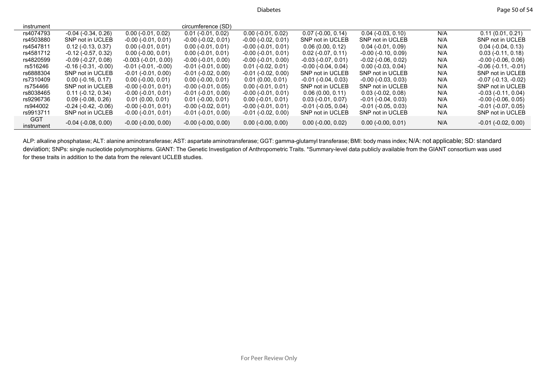| instrument               |                              |                               | circumference (SD)           |                           |                              |                              |     |                             |
|--------------------------|------------------------------|-------------------------------|------------------------------|---------------------------|------------------------------|------------------------------|-----|-----------------------------|
| rs4074793                | $-0.04$ $(-0.34, 0.26)$      | $0.00$ (-0.01, 0.02)          | $0.01$ (-0.01, 0.02)         | $0.00$ (-0.01, 0.02)      | $0.07$ (-0.00, 0.14)         | $0.04$ ( $-0.03$ , $0.10$ )  | N/A | 0.11(0.01, 0.21)            |
| rs4503880                | SNP not in UCLEB             | $-0.00$ $(-0.01, 0.01)$       | $-0.00$ $(-0.02, 0.01)$      | $-0.00$ $(-0.02, 0.01)$   | SNP not in UCLEB             | SNP not in UCLEB             | N/A | SNP not in UCLEB            |
| rs4547811                | $0.12(-0.13, 0.37)$          | $0.00$ (-0.01, 0.01)          | $0.00$ (-0.01, 0.01)         | $-0.00$ $(-0.01, 0.01)$   | 0.06(0.00, 0.12)             | $0.04$ (-0.01, 0.09)         | N/A | $0.04$ ( $-0.04$ , $0.13$ ) |
| rs4581712                | $-0.12$ ( $-0.57$ , $0.32$ ) | $0.00$ (-0.00, 0.01)          | $0.00$ (-0.01, 0.01)         | $-0.00$ $(-0.01, 0.01)$   | $0.02$ (-0.07, 0.11)         | $-0.00$ $(-0.10, 0.09)$      | N/A | $0.03$ ( $-0.11$ , $0.18$ ) |
| rs4820599                | $-0.09$ $(-0.27, 0.08)$      | $-0.003$ $(-0.01, 0.00)$      | $-0.00$ $(-0.01, 0.00)$      | $-0.00$ ( $-0.01, 0.00$ ) | $-0.03$ $(-0.07, 0.01)$      | $-0.02$ ( $-0.06, 0.02$ )    | N/A | $-0.00$ ( $-0.06, 0.06$ )   |
| rs516246                 | $-0.16(-0.31,-0.00)$         | $-0.01$ ( $-0.01$ , $-0.00$ ) | $-0.01$ $(-0.01, 0.00)$      | $0.01$ (-0.02, 0.01)      | $-0.00$ ( $-0.04$ , $0.04$ ) | $0.00$ ( $-0.03$ , $0.04$ )  | N/A | $-0.06$ $(-0.11, -0.01)$    |
| rs6888304                | SNP not in UCLEB             | $-0.01$ ( $-0.01$ , $0.00$ )  | $-0.01$ ( $-0.02, 0.00$ )    | $-0.01$ ( $-0.02, 0.00$ ) | SNP not in UCLEB             | SNP not in UCLEB             | N/A | SNP not in UCLEB            |
| rs7310409                | $0.00$ (-0.16, 0.17)         | $0.00$ (-0.00, 0.01)          | $0.00$ (-0.00, 0.01)         | 0.01(0.00, 0.01)          | $-0.01$ ( $-0.04$ , $0.03$ ) | $-0.00$ $(-0.03, 0.03)$      | N/A | $-0.07$ $(-0.13, -0.02)$    |
| rs754466                 | SNP not in UCLEB             | $-0.00$ ( $-0.01$ , $0.01$ )  | $-0.00$ ( $-0.01$ , $0.05$ ) | $0.00$ (-0.01, 0.01)      | SNP not in UCLEB             | SNP not in UCLEB             | N/A | SNP not in UCLEB            |
| rs8038465                | $0.11 (-0.12, 0.34)$         | $-0.00$ $(-0.01, 0.01)$       | $-0.01$ $(-0.01, 0.00)$      | $-0.00$ $(-0.01, 0.01)$   | 0.06(0.00, 0.11)             | $0.03$ (-0.02, 0.08)         | N/A | $-0.03$ $(-0.11, 0.04)$     |
| rs9296736                | $0.09$ (-0.08, 0.26)         | 0.01(0.00, 0.01)              | $0.01$ (-0.00, 0.01)         | $0.00$ (-0.01, 0.01)      | $0.03$ (-0.01, 0.07)         | $-0.01$ ( $-0.04$ , $0.03$ ) | N/A | $-0.00$ $(-0.06, 0.05)$     |
| rs944002                 | $-0.24$ $(-0.42, -0.06)$     | $-0.00$ ( $-0.01$ , $0.01$ )  | $-0.00$ ( $-0.02, 0.01$ )    | $-0.00$ ( $-0.01, 0.01$ ) | $-0.01$ ( $-0.05, 0.04$ )    | $-0.01$ ( $-0.05, 0.03$ )    | N/A | $-0.01$ ( $-0.07, 0.05$ )   |
| rs9913711                | SNP not in UCLEB             | $-0.00$ $(-0.01, 0.01)$       | $-0.01$ $(-0.01, 0.00)$      | $-0.01$ $(-0.02, 0.00)$   | SNP not in UCLEB             | SNP not in UCLEB             | N/A | SNP not in UCLEB            |
| <b>GGT</b><br>instrument | $-0.04$ $(-0.08, 0.00)$      | $-0.00$ $(-0.00, 0.00)$       | $-0.00$ $(-0.00, 0.00)$      | $0.00$ (-0.00, 0.00)      | $0.00$ (-0.00, 0.02)         | $0.00$ (-0.00, 0.01)         | N/A | $-0.01$ $(-0.02, 0.00)$     |

ALP: alkaline phosphatase; ALT: alanine aminotransferase; AST: aspartate aminotransferase; GGT: gamma-glutamyl transferase; BMI: body mass index; N/A: not applicable; SD: standard deviation; SNPs: single nucleotide polymorphisms. GIANT: The Genetic Investigation of Anthropometric Traits. \*Summary-level data publicly available from the GIANT consortium was used for these traits in addition to the data from the relevant UCLEB studies.

L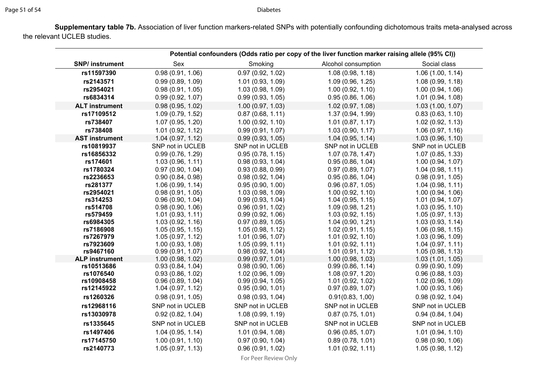**Supplementary table 7b.** Association of liver function markers-related SNPs with potentially confounding dichotomous traits meta-analysed across the relevant UCLEB studies.

|                        | Potential confounders (Odds ratio per copy of the liver function marker raising allele (95% CI)) |                                      |                                      |                                      |  |  |  |  |
|------------------------|--------------------------------------------------------------------------------------------------|--------------------------------------|--------------------------------------|--------------------------------------|--|--|--|--|
| <b>SNP/ instrument</b> | Sex                                                                                              | Smoking                              | Alcohol consumption                  | Social class                         |  |  |  |  |
| rs11597390             | 0.98(0.91, 1.06)                                                                                 | 0.97(0.92, 1.02)                     | 1.08(0.98, 1.18)                     | 1.06(1.00, 1.14)                     |  |  |  |  |
| rs2143571              | 0.99(0.89, 1.09)                                                                                 | 1.01 (0.93, 1.09)                    | 1.09(0.96, 1.25)                     | 1.08(0.99, 1.18)                     |  |  |  |  |
| rs2954021              | 0.98(0.91, 1.05)                                                                                 | 1.03(0.98, 1.09)                     | 1.00(0.92, 1.10)                     | 1.00(0.94, 1.06)                     |  |  |  |  |
| rs6834314              | 0.99(0.92, 1.07)                                                                                 | 0.99(0.93, 1.05)                     | 0.95(0.86, 1.06)                     | 1.01(0.94, 1.08)                     |  |  |  |  |
| <b>ALT</b> instrument  | 0.98(0.95, 1.02)                                                                                 | 1.00(0.97, 1.03)                     | 1.02(0.97, 1.08)                     | 1.03(1.00, 1.07)                     |  |  |  |  |
| rs17109512             | 1.09(0.79, 1.52)                                                                                 | 0.87(0.68, 1.11)                     | 1.37 (0.94, 1.99)                    | 0.83(0.63, 1.10)                     |  |  |  |  |
| rs738407               | 1.07(0.95, 1.20)                                                                                 | 1.00(0.92, 1.10)                     | 1.01(0.87, 1.17)                     | 1.02(0.92, 1.13)                     |  |  |  |  |
| rs738408               | 1.01(0.92, 1.12)                                                                                 | 0.99(0.91, 1.07)                     | 1.03(0.90, 1.17)                     | 1.06(0.97, 1.16)                     |  |  |  |  |
| <b>AST instrument</b>  | 1.04(0.97, 1.12)                                                                                 | 0.99(0.93, 1.05)                     | 1.04(0.95, 1.14)                     | 1.03(0.96, 1.10)                     |  |  |  |  |
| rs10819937             | SNP not in UCLEB                                                                                 | SNP not in UCLEB                     | SNP not in UCLEB                     | SNP not in UCLEB                     |  |  |  |  |
| rs16856332             | 0.99(0.76, 1.29)                                                                                 | 0.95(0.78, 1.15)                     | 1.07(0.78, 1.47)                     | 1.07(0.85, 1.33)                     |  |  |  |  |
| rs174601               | 1.03(0.96, 1.11)                                                                                 | 0.98(0.93, 1.04)                     | 0.95(0.86, 1.04)                     | 1.00(0.94, 1.07)                     |  |  |  |  |
| rs1780324              | 0.97(0.90, 1.04)                                                                                 | 0.93(0.88, 0.99)                     | 0.97(0.89, 1.07)                     | 1.04(0.98, 1.11)                     |  |  |  |  |
| rs2236653              | 0.90(0.84, 0.98)                                                                                 | 0.98(0.92, 1.04)                     | 0.95(0.86, 1.04)                     | 0.98(0.91, 1.05)                     |  |  |  |  |
| rs281377               | 1.06(0.99, 1.14)                                                                                 | 0.95(0.90, 1.00)                     | 0.96(0.87, 1.05)                     | 1.04(0.98, 1.11)                     |  |  |  |  |
| rs2954021              | 0.98(0.91, 1.05)                                                                                 | 1.03 (0.98, 1.09)                    | 1.00(0.92, 1.10)                     | 1.00(0.94, 1.06)                     |  |  |  |  |
| rs314253               | 0.96(0.90, 1.04)                                                                                 | 0.99(0.93, 1.04)                     | 1.04(0.95, 1.15)                     | 1.01 (0.94, 1.07)                    |  |  |  |  |
| rs514708               | 0.98(0.90, 1.06)                                                                                 | 0.96(0.91, 1.02)                     | 1.09(0.98, 1.21)                     | 1.03(0.95, 1.10)                     |  |  |  |  |
| rs579459               | 1.01(0.93, 1.11)                                                                                 | 0.99(0.92, 1.06)                     | 1.03(0.92, 1.15)                     | 1.05(0.97, 1.13)                     |  |  |  |  |
| rs6984305<br>rs7186908 | 1.03(0.92, 1.16)<br>1.05(0.95, 1.15)                                                             | 0.97(0.89, 1.05)<br>1.05(0.98, 1.12) | 1.04(0.90, 1.21)<br>1.02(0.91, 1.15) | 1.03(0.93, 1.14)<br>1.06(0.98, 1.15) |  |  |  |  |
| rs7267979              | 1.05(0.97, 1.12)                                                                                 | 1.01(0.96, 1.07)                     | 1.01(0.92, 1.10)                     | 1.03 (0.96, 1.09)                    |  |  |  |  |
| rs7923609              | 1.00(0.93, 1.08)                                                                                 | 1.05(0.99, 1.11)                     | 1.01(0.92, 1.11)                     | 1.04(0.97, 1.11)                     |  |  |  |  |
| rs9467160              | 0.99(0.91, 1.07)                                                                                 | 0.98(0.92, 1.04)                     | 1.01(0.91, 1.12)                     | 1.05(0.98, 1.13)                     |  |  |  |  |
| <b>ALP instrument</b>  | 1.00(0.98, 1.02)                                                                                 | 0.99(0.97, 1.01)                     | 1.00(0.98, 1.03)                     | 1.03(1.01, 1.05)                     |  |  |  |  |
| rs10513686             | 0.93(0.84, 1.04)                                                                                 | 0.98(0.90, 1.06)                     | 0.99(0.86, 1.14)                     | 0.99(0.90, 1.09)                     |  |  |  |  |
| rs1076540              | 0.93(0.86, 1.02)                                                                                 | 1.02(0.96, 1.09)                     | 1.08(0.97, 1.20)                     | 0.96(0.88, 1.03)                     |  |  |  |  |
| rs10908458             | 0.96(0.89, 1.04)                                                                                 | 0.99(0.94, 1.05)                     | 1.01(0.92, 1.02)                     | 1.02(0.96, 1.09)                     |  |  |  |  |
| rs12145922             | 1.04(0.97, 1.12)                                                                                 | 0.95(0.90, 1.01)                     | 0.97(0.89, 1.07)                     | 1.00(0.93, 1.06)                     |  |  |  |  |
| rs1260326              | 0.98(0.91, 1.05)                                                                                 | 0.98(0.93, 1.04)                     | 0.91(0.83, 1,00)                     | 0.98(0.92, 1.04)                     |  |  |  |  |
| rs12968116             | SNP not in UCLEB                                                                                 | SNP not in UCLEB                     | SNP not in UCLEB                     | SNP not in UCLEB                     |  |  |  |  |
| rs13030978             | 0.92(0.82, 1.04)                                                                                 | 1.08 (0.99, 1.19)                    | 0.87(0.75, 1.01)                     | 0.94(0.84, 1.04)                     |  |  |  |  |
| rs1335645              | SNP not in UCLEB                                                                                 | SNP not in UCLEB                     | SNP not in UCLEB                     | SNP not in UCLEB                     |  |  |  |  |
| rs1497406              | 1.04(0.95, 1.14)                                                                                 | 1.01(0.94, 1.08)                     | 0.96(0.85, 1.07)                     | 1.01(0.94, 1.10)                     |  |  |  |  |
| rs17145750             | 1.00(0.91, 1.10)                                                                                 | 0.97(0.90, 1.04)                     | 0.89(0.78, 1.01)                     | 0.98(0.90, 1.06)                     |  |  |  |  |
| rs2140773              | 1.05(0.97, 1.13)                                                                                 | 0.96(0.91, 1.02)                     | 1.01(0.92, 1.11)                     | 1.05(0.98, 1.12)                     |  |  |  |  |

For Peer Review Only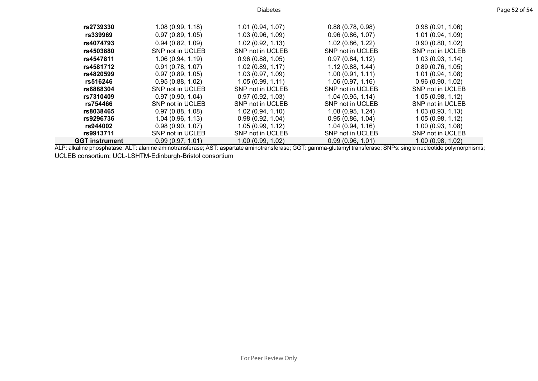| rs2739330             | 1.08(0.99, 1.18) | 1.01(0.94, 1.07) | 0.88(0.78, 0.98) | 0.98(0.91, 1.06) |
|-----------------------|------------------|------------------|------------------|------------------|
| rs339969              | 0.97(0.89, 1.05) | 1.03(0.96, 1.09) | 0.96(0.86, 1.07) | 1.01(0.94, 1.09) |
| rs4074793             | 0.94(0.82, 1.09) | 1.02(0.92, 1.13) | 1.02(0.86, 1.22) | 0.90(0.80, 1.02) |
| rs4503880             | SNP not in UCLEB | SNP not in UCLEB | SNP not in UCLEB | SNP not in UCLEB |
| rs4547811             | 1.06(0.94, 1.19) | 0.96(0.88, 1.05) | 0.97(0.84, 1.12) | 1.03(0.93, 1.14) |
| rs4581712             | 0.91(0.78, 1.07) | 1.02(0.89, 1.17) | 1.12(0.88, 1.44) | 0.89(0.76, 1.05) |
| rs4820599             | 0.97(0.89, 1.05) | 1.03(0.97, 1.09) | 1.00(0.91, 1.11) | 1.01(0.94, 1.08) |
| rs516246              | 0.95(0.88, 1.02) | 1.05(0.99, 1.11) | 1.06(0.97, 1.16) | 0.96(0.90, 1.02) |
| rs6888304             | SNP not in UCLEB | SNP not in UCLEB | SNP not in UCLEB | SNP not in UCLEB |
| rs7310409             | 0.97(0.90, 1.04) | 0.97(0.92, 1.03) | 1.04(0.95, 1.14) | 1.05(0.98, 1.12) |
| rs754466              | SNP not in UCLEB | SNP not in UCLEB | SNP not in UCLEB | SNP not in UCLEB |
| rs8038465             | 0.97(0.88, 1.08) | 1.02(0.94, 1.10) | 1.08(0.95, 1.24) | 1.03(0.93, 1.13) |
| rs9296736             | 1.04(0.96, 1.13) | 0.98(0.92, 1.04) | 0.95(0.86, 1.04) | 1.05(0.98, 1.12) |
| rs944002              | 0.98(0.90, 1.07) | 1.05(0.99, 1.12) | 1.04(0.94, 1.16) | 1.00(0.93, 1.08) |
| rs9913711             | SNP not in UCLEB | SNP not in UCLEB | SNP not in UCLEB | SNP not in UCLEB |
| <b>GGT instrument</b> | 0.99(0.97, 1.01) | 1.00(0.99, 1.02) | 0.99(0.96, 1.01) | 1.00(0.98, 1.02) |

ALP: alkaline phosphatase; ALT: alanine aminotransferase; AST: aspartate aminotransferase; GGT: gamma-glutamyl transferase; SNPs: single nucleotide polymorphisms; UCLEB consortium: UCL-LSHTM-Edinburgh-Bristol consortium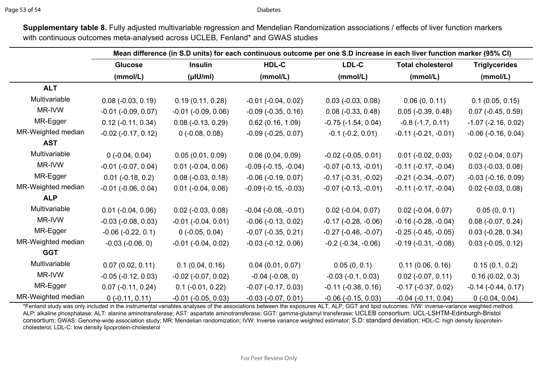**Supplementary table 8.** Fully adjusted multivariable regression and Mendelian Randomization associations / effects of liver function markers with continuous outcomes meta-analysed across UCLEB, Fenland\* and GWAS studies

|                    | Mean difference (in S.D units) for each continuous outcome per one S.D increase in each liver function marker (95% CI) |                         |                          |                              |                               |                           |  |
|--------------------|------------------------------------------------------------------------------------------------------------------------|-------------------------|--------------------------|------------------------------|-------------------------------|---------------------------|--|
|                    | <b>Glucose</b>                                                                                                         | <b>Insulin</b>          | HDL-C                    | LDL-C                        | <b>Total cholesterol</b>      | <b>Triglycerides</b>      |  |
|                    | (mmol/L)                                                                                                               | (µIU/ml)                | (mmol/L)                 | (mmol/L)                     | (mmol/L)                      | (mmol/L)                  |  |
| <b>ALT</b>         |                                                                                                                        |                         |                          |                              |                               |                           |  |
| Multivariable      | $0.08$ (-0.03, 0.19)                                                                                                   | 0.19(0.11, 0.28)        | $-0.01$ $(-0.04, 0.02)$  | $0.03$ (-0.03, 0.08)         | 0.06(0, 0.11)                 | 0.1(0.05, 0.15)           |  |
| MR-IVW             | $-0.01$ $(-0.09, 0.07)$                                                                                                | $-0.01$ $(-0.09, 0.06)$ | $-0.09$ $(-0.35, 0.16)$  | $0.08(-0.33, 0.48)$          | $0.05$ (-0.39, 0.48)          | $0.07$ (-0.45, 0.59)      |  |
| MR-Egger           | $0.12$ (-0.11, 0.34)                                                                                                   | $0.08$ (-0.13, 0.29)    | 0.62(0.16, 1.09)         | $-0.75$ $(-1.54, 0.04)$      | $-0.8$ $(-1.7, 0.11)$         | $-1.07$ ( $-2.16, 0.02$ ) |  |
| MR-Weighted median | $-0.02$ $(-0.17, 0.12)$                                                                                                | $0(-0.08, 0.08)$        | $-0.09$ $(-0.25, 0.07)$  | $-0.1$ $(-0.2, 0.01)$        | $-0.11(-0.21, -0.01)$         | $-0.06$ $(-0.16, 0.04)$   |  |
| <b>AST</b>         |                                                                                                                        |                         |                          |                              |                               |                           |  |
| Multivariable      | $0(-0.04, 0.04)$                                                                                                       | 0.05(0.01, 0.09)        | 0.06(0.04, 0.09)         | $-0.02$ $(-0.05, 0.01)$      | $0.01$ (-0.02, 0.03)          | $0.02$ (-0.04, 0.07)      |  |
| MR-IVW             | $-0.01$ $(-0.07, 0.04)$                                                                                                | $0.01$ (-0.04, 0.06)    | $-0.09$ $(-0.15, -0.04)$ | $-0.07$ $(-0.13, -0.01)$     | $-0.11$ $(-0.17, -0.04)$      | $0.03$ (-0.03, 0.08)      |  |
| MR-Egger           | $0.01$ (-0.18, 0.2)                                                                                                    | $0.08$ (-0.03, 0.18)    | $-0.06$ $(-0.19, 0.07)$  | $-0.17$ $(-0.31, -0.02)$     | $-0.21$ $(-0.34, -0.07)$      | $-0.03$ $(-0.16, 0.09)$   |  |
| MR-Weighted median | $-0.01$ $(-0.06, 0.04)$                                                                                                | $0.01$ (-0.04, 0.06)    | $-0.09$ $(-0.15, -0.03)$ | $-0.07$ $(-0.13, -0.01)$     | $-0.11$ $(-0.17, -0.04)$      | $0.02$ (-0.03, 0.08)      |  |
| <b>ALP</b>         |                                                                                                                        |                         |                          |                              |                               |                           |  |
| Multivariable      | $0.01$ (-0.04, 0.06)                                                                                                   | $0.02$ (-0.03, 0.08)    | $-0.04$ $(-0.08, -0.01)$ | $0.02$ (-0.04, 0.07)         | $0.02$ (-0.04, 0.07)          | 0.05(0, 0.1)              |  |
| MR-IVW             | $-0.03$ $(-0.08, 0.03)$                                                                                                | $-0.01$ $(-0.04, 0.01)$ | $-0.06$ $(-0.13, 0.02)$  | $-0.17$ $(-0.28, -0.06)$     | $-0.16$ $(-0.28, -0.04)$      | $0.08$ (-0.07, 0.24)      |  |
| MR-Egger           | $-0.06$ $(-0.22, 0.1)$                                                                                                 | $0(-0.05, 0.04)$        | $-0.07$ $(-0.35, 0.21)$  | $-0.27$ $(-0.46, -0.07)$     | $-0.25$ ( $-0.45$ , $-0.05$ ) | $0.03$ (-0.28, 0.34)      |  |
| MR-Weighted median | $-0.03(-0.06, 0)$                                                                                                      | $-0.01$ $(-0.04, 0.02)$ | $-0.03$ $(-0.12, 0.06)$  | $-0.2$ ( $-0.34$ , $-0.06$ ) | $-0.19(-0.31,-0.08)$          | $0.03$ (-0.05, 0.12)      |  |
| <b>GGT</b>         |                                                                                                                        |                         |                          |                              |                               |                           |  |
| Multivariable      | 0.07(0.02, 0.11)                                                                                                       | 0.1(0.04, 0.16)         | 0.04(0.01, 0.07)         | 0.05(0, 0.1)                 | 0.11(0.06, 0.16)              | 0.15(0.1, 0.2)            |  |
| MR-IVW             | $-0.05$ $(-0.12, 0.03)$                                                                                                | $-0.02$ $(-0.07, 0.02)$ | $-0.04$ $(-0.08, 0)$     | $-0.03$ $(-0.1, 0.03)$       | $0.02$ (-0.07, 0.11)          | 0.16(0.02, 0.3)           |  |
| MR-Egger           | $0.07$ (-0.11, 0.24)                                                                                                   | $0.1$ (-0.01, 0.22)     | $-0.07$ $(-0.17, 0.03)$  | $-0.11$ $(-0.38, 0.16)$      | $-0.17$ $(-0.37, 0.02)$       | $-0.14$ $(-0.44, 0.17)$   |  |
| MR-Weighted median | $0(-0.11, 0.11)$                                                                                                       | $-0.01$ $(-0.05, 0.03)$ | $-0.03$ $(-0.07, 0.01)$  | $-0.06$ $(-0.15, 0.03)$      | $-0.04$ $(-0.11, 0.04)$       | $0(-0.04, 0.04)$          |  |

\*Fenland study was only included in the instrumental variables analyses of the associations between the exposures ALT, ALP, GGT and lipid outcomes. IVW: inverse-variance weighted method. ALP: alkaline phosphatase; ALT: alanine aminotransferase; AST: aspartate aminotransferase; GGT: gamma-glutamyl transferase; UCLEB consortium: UCL-LSHTM-Edinburgh-Bristol consortium; GWAS: Genome-wide association study; MR: Mendelian randomization; IVW: Inverse variance weighted estimator; S.D: standard deviation; HDL-C: high density lipoproteincholesterol; LDL-C: low density lipoprotein-cholesterol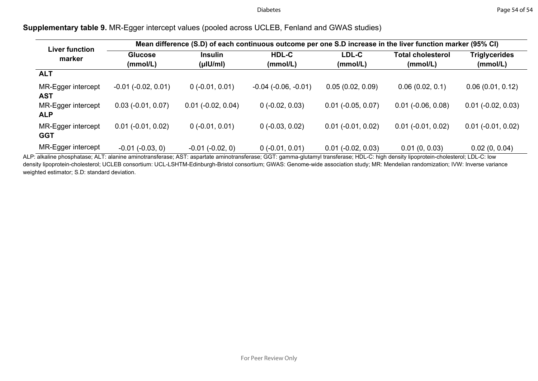|                                  | Mean difference (S.D) of each continuous outcome per one S.D increase in the liver function marker (95% CI) |                                  |                          |                          |                                      |                                  |  |  |  |
|----------------------------------|-------------------------------------------------------------------------------------------------------------|----------------------------------|--------------------------|--------------------------|--------------------------------------|----------------------------------|--|--|--|
| Liver function<br>marker         | <b>Glucose</b><br>(mmol/L)                                                                                  | <b>Insulin</b><br>$($ µlU/ml $)$ | HDL-C<br>(mmol/L)        | LDL-C<br>(mmol/L)        | <b>Total cholesterol</b><br>(mmol/L) | <b>Triglycerides</b><br>(mmol/L) |  |  |  |
| <b>ALT</b>                       |                                                                                                             |                                  |                          |                          |                                      |                                  |  |  |  |
| MR-Egger intercept<br><b>AST</b> | $-0.01$ $(-0.02, 0.01)$                                                                                     | $0$ (-0.01, 0.01)                | $-0.04$ $(-0.06, -0.01)$ | 0.05(0.02, 0.09)         | 0.06(0.02, 0.1)                      | 0.06(0.01, 0.12)                 |  |  |  |
| MR-Egger intercept<br><b>ALP</b> | $0.03$ (-0.01, 0.07)                                                                                        | $0.01$ (-0.02, 0.04)             | $0$ (-0.02, 0.03)        | $0.01$ ( $-0.05, 0.07$ ) | $0.01$ ( $-0.06, 0.08$ )             | $0.01$ (-0.02, 0.03)             |  |  |  |
| MR-Egger intercept<br><b>GGT</b> | $0.01$ (-0.01, 0.02)                                                                                        | 0(.0.01, 0.01)                   | $0(-0.03, 0.02)$         | $0.01$ (-0.01, 0.02)     | $0.01$ ( $-0.01$ , $0.02$ )          | $0.01$ (-0.01, 0.02)             |  |  |  |
| MR-Egger intercept               | $-0.01$ $(-0.03, 0)$                                                                                        | $-0.01$ $(-0.02, 0)$             | 0(.0.01, 0.01)           | $( -0.02, 0.03)$<br>0.01 | 0.01(0, 0.03)                        | 0.02(0, 0.04)                    |  |  |  |

# **Supplementary table 9.** MR-Egger intercept values (pooled across UCLEB, Fenland and GWAS studies)

ALP: alkaline phosphatase; ALT: alanine aminotransferase; AST: aspartate aminotransferase; GGT: gamma-glutamyl transferase; HDL-C: high density lipoprotein-cholesterol; LDL-C: low density lipoprotein-cholesterol; UCLEB consortium: UCL-LSHTM-Edinburgh-Bristol consortium; GWAS: Genome-wide association study; MR: Mendelian randomization; IVW: Inverse variance weighted estimator; S.D: standard deviation.